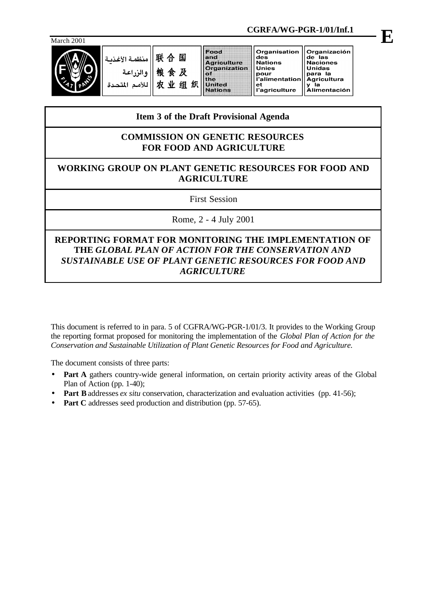

|            |                                             |                        |                                                                                                      | CGRFA/WG-PGR-1/01/Inf.1                                                                                |                                                                                                                    |  |
|------------|---------------------------------------------|------------------------|------------------------------------------------------------------------------------------------------|--------------------------------------------------------------------------------------------------------|--------------------------------------------------------------------------------------------------------------------|--|
| March 2001 |                                             |                        |                                                                                                      |                                                                                                        |                                                                                                                    |  |
|            | منظمة الأغذسة<br>والزراعة<br>اللأمم المتحدة | 联合国<br>粮食及<br>农业组<br>织 | <b>IFOOD</b><br>land<br>Agriculture<br><b>Organization</b><br>RУ<br>lane<br>United<br><b>Nations</b> | Organisation<br>des<br><b>Nations</b><br><b>Unies</b><br>pour<br>l'alimentation<br>еt<br>l'agriculture | Organización<br>de las<br><b>Naciones</b><br><b>Unidas</b><br>para la<br><b>Agricultura</b><br><b>Alimentación</b> |  |

# **Item 3 of the Draft Provisional Agenda**

# **COMMISSION ON GENETIC RESOURCES FOR FOOD AND AGRICULTURE**

# **WORKING GROUP ON PLANT GENETIC RESOURCES FOR FOOD AND AGRICULTURE**

First Session

Rome, 2 - 4 July 2001

# **REPORTING FORMAT FOR MONITORING THE IMPLEMENTATION OF THE** *GLOBAL PLAN OF ACTION FOR THE CONSERVATION AND SUSTAINABLE USE OF PLANT GENETIC RESOURCES FOR FOOD AND AGRICULTURE*

This document is referred to in para. 5 of CGFRA/WG-PGR-1/01/3. It provides to the Working Group the reporting format proposed for monitoring the implementation of the *Global Plan of Action for the Conservation and Sustainable Utilization of Plant Genetic Resources for Food and Agriculture.*

The document consists of three parts:

- Part A gathers country-wide general information, on certain priority activity areas of the Global Plan of Action (pp. 1-40);
- **Part B** addresses *ex situ* conservation, characterization and evaluation activities (pp. 41-56);
- **Part C** addresses seed production and distribution (pp. 57-65).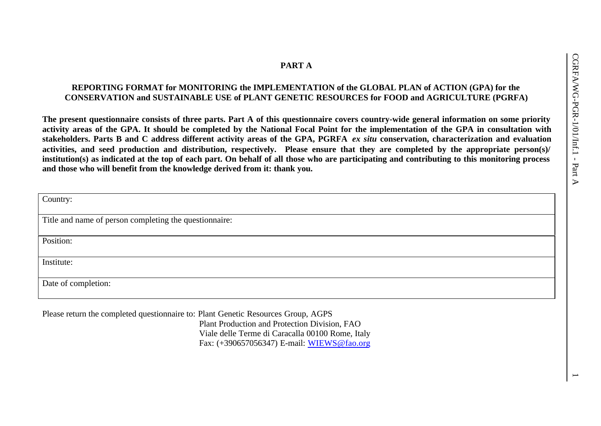# **PART A**

# **REPORTING FORMAT for MONITORING the IMPLEMENTATION of the GLOBAL PLAN of ACTION (GPA) for the CONSERVATION and SUSTAINABLE USE of PLANT GENETIC RESOURCES for FOOD and AGRICULTURE (PGRFA)**

**The present questionnaire consists of three parts. Part A of this questionnaire covers country-wide general information on some priority activity areas of the GPA. It should be completed by the National Focal Point for the implementation of the GPA in consultation with stakeholders. Parts B and C address different activity areas of the GPA, PGRFA** *ex situ* **conservation, characterization and evaluation activities, and seed production and distribution, respectively. Please ensure that they are completed by the appropriate person(s)/ institution(s) as indicated at the top of each part. On behalf of all those who are participating and contributing to this monitoring process and those who will benefit from the knowledge derived from it: thank you.**

| Country:                                                                          |
|-----------------------------------------------------------------------------------|
| Title and name of person completing the questionnaire:                            |
| Position:                                                                         |
| Institute:                                                                        |
| Date of completion:                                                               |
| Please return the completed questionnaire to: Plant Genetic Resources Group, AGPS |

Plant Production and Protection Division, FAO Viale delle Terme di Caracalla 00100 Rome, Italy Fax: (+390657056347) E-mail: WIEWS@fao.org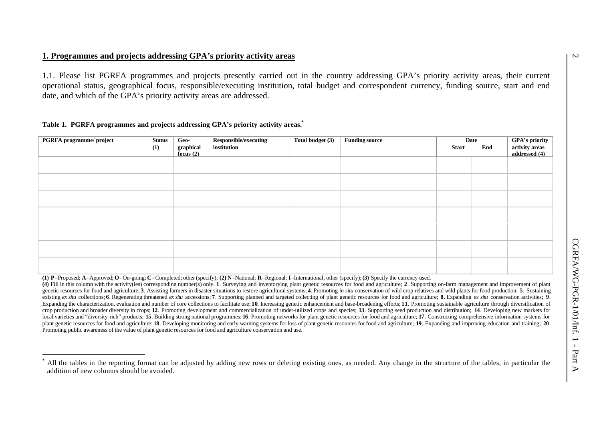## **1. Programmes and projects addressing GPA's priority activity areas**

1.1. Please list PGRFA programmes and projects presently carried out in the country addressing GPA's priority activity areas, their current operational status, geographical focus, responsible/executing institution, total budget and correspondent currency, funding source, start and end date, and which of the GPA's priority activity areas are addressed.

#### **Table 1. PGRFA programmes and projects addressing GPA's priority activity areas.\***

l

| PGRFA programme/ project | <b>Status</b> | Geo-                   | Responsible/executing | Total budget (3) | <b>Funding source</b> |              | Date |                                                   |
|--------------------------|---------------|------------------------|-----------------------|------------------|-----------------------|--------------|------|---------------------------------------------------|
|                          | (1)           | graphical<br>focus (2) | institution           |                  |                       | <b>Start</b> | End  | GPA's priority<br>activity areas<br>addressed (4) |
|                          |               |                        |                       |                  |                       |              |      |                                                   |
|                          |               |                        |                       |                  |                       |              |      |                                                   |
|                          |               |                        |                       |                  |                       |              |      |                                                   |
|                          |               |                        |                       |                  |                       |              |      |                                                   |
|                          |               |                        |                       |                  |                       |              |      |                                                   |
|                          |               |                        |                       |                  |                       |              |      |                                                   |
|                          |               |                        |                       |                  |                       |              |      |                                                   |

(1) P=Proposed; A=Approved; O=On-going; C=Completed; other (specify); (2) N=National; R=Regional; I=International; other (specify); (3) Specify the currency used.

(4) Fill in this column with the activity (ies) corresponding number(s) only. 1. Surveying and inventorying plant genetic resources for food and agriculture; 2. Supporting on-farm management and improvement of plant genetic resources for food and agriculture; 3. Assisting farmers in disaster situations to restore agricultural systems; 4. Promoting in situ conservation of wild crop relatives and wild plants for food production; 5. Sust existing ex situ collections; 6. Regenerating threatened ex situ accessions; 7. Supporting planned and targeted collecting of plant genetic resources for food and agriculture; 8. Expanding ex situ conservation activities; Expanding the characterization, evaluation and number of core collections to facilitate use; 10. Increasing genetic enhancement and base-broadening efforts; 11. Promoting sustainable agriculture through diversification of crop production and broader diversity in crops; 12. Promoting development and commercialization of under-utilized crops and species; 13. Supporting seed production and distribution; 14. Developing new markets for local varieties and "diversity-rich" products; 15. Building strong national programmes; 16. Promoting networks for plant genetic resources for food and agriculture; 17. Constructing comprehensive information systems for plant genetic resources for food and agriculture; 18. Developing monitoring and early warning systems for loss of plant genetic resources for food and agriculture; 19. Expanding and improving education and training; 20. Promoting public awareness of the value of plant genetic resources for food and agriculture conservation and use.

<sup>\*</sup> All the tables in the reporting format can be adjusted by adding new rows or deleting existing ones, as needed. Any change in the structure of the tables, in particular the addition of new columns should be avoided.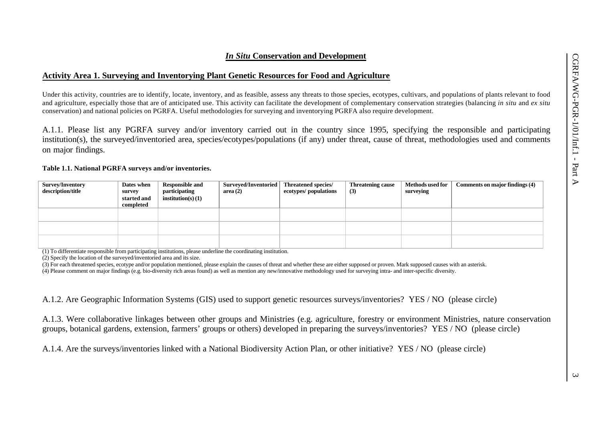#### *In Situ* **Conservation and Development**

#### **Activity Area 1. Surveying and Inventorying Plant Genetic Resources for Food and Agriculture**

Under this activity, countries are to identify, locate, inventory, and as feasible, assess any threats to those species, ecotypes, cultivars, and populations of plants relevant to food and agriculture, especially those that are of anticipated use. This activity can facilitate the development of complementary conservation strategies (balancing *in situ* and *ex situ* conservation) and national policies on PGRFA. Useful methodologies for surveying and inventorying PGRFA also require development.

A.1.1. Please list any PGRFA survey and/or inventory carried out in the country since 1995, specifying the responsible and participating institution(s), the surveyed/inventoried area, species/ecotypes/populations (if any) under threat, cause of threat, methodologies used and comments on major findings.

#### **Table 1.1. National PGRFA surveys and/or inventories.**

| Survey/Inventory<br>description/title | Dates when<br>survey<br>started and<br>completed | <b>Responsible and</b><br>participating<br>institution(s) $(1)$ | Surveyed/Inventoried<br>area(2) | <b>Threatened species/</b><br>ecotypes/ populations | <b>Threatening cause</b><br>(3) | <b>Methods used for</b><br>surveying | Comments on major findings (4) |
|---------------------------------------|--------------------------------------------------|-----------------------------------------------------------------|---------------------------------|-----------------------------------------------------|---------------------------------|--------------------------------------|--------------------------------|
|                                       |                                                  |                                                                 |                                 |                                                     |                                 |                                      |                                |
|                                       |                                                  |                                                                 |                                 |                                                     |                                 |                                      |                                |
|                                       |                                                  |                                                                 |                                 |                                                     |                                 |                                      |                                |

(1) To differentiate responsible from participating institutions, please underline the coordinating institution.

(2) Specify the location of the surveyed/inventoried area and its size.

(3) For each threatened species, ecotype and/or population mentioned, please explain the causes of threat and whether these are either supposed or proven. Mark supposed causes with an asterisk. (4) Please comment on major findings (e.g. bio-diversity rich areas found) as well as mention any new/innovative methodology used for surveying intra- and inter-specific diversity.

A.1.2. Are Geographic Information Systems (GIS) used to support genetic resources surveys/inventories? YES / NO (please circle)

A.1.3. Were collaborative linkages between other groups and Ministries (e.g. agriculture, forestry or environment Ministries, nature conservation groups, botanical gardens, extension, farmers' groups or others) developed in preparing the surveys/inventories? YES / NO (please circle)

A.1.4. Are the surveys/inventories linked with a National Biodiversity Action Plan, or other initiative? YES / NO (please circle)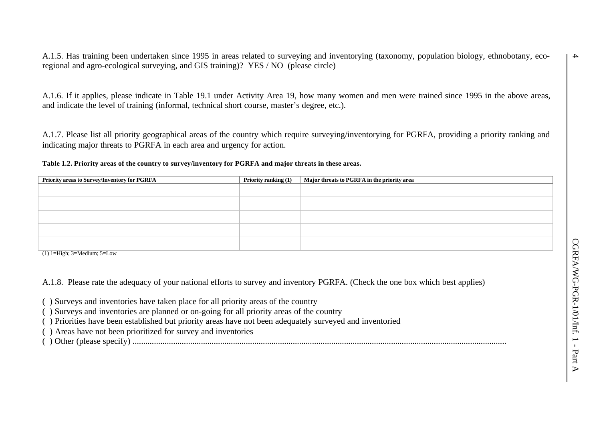A.1.5. Has training been undertaken since 1995 in areas related to surveying and inventorying (taxonomy, population biology, ethnobotany, ecoregional and agro-ecological surveying, and GIS training)? YES / NO (please circle)

A.1.6. If it applies, please indicate in Table 19.1 under Activity Area 19, how many women and men were trained since 1995 in the above areas, and indicate the level of training (informal, technical short course, master's degree, etc.).

A.1.7. Please list all priority geographical areas of the country which require surveying/inventorying for PGRFA, providing a priority ranking and indicating major threats to PGRFA in each area and urgency for action.

**Table 1.2. Priority areas of the country to survey/inventory for PGRFA and major threats in these areas.**

| Priority areas to Survey/Inventory for PGRFA | Priority ranking (1) | Major threats to PGRFA in the priority area |
|----------------------------------------------|----------------------|---------------------------------------------|
|                                              |                      |                                             |
|                                              |                      |                                             |
|                                              |                      |                                             |
|                                              |                      |                                             |
|                                              |                      |                                             |

 $(1)$  1=High; 3=Medium; 5=Low

A.1.8. Please rate the adequacy of your national efforts to survey and inventory PGRFA. (Check the one box which best applies)

( ) Surveys and inventories have taken place for all priority areas of the country

- ( ) Surveys and inventories are planned or on-going for all priority areas of the country
- ( ) Priorities have been established but priority areas have not been adequately surveyed and inventoried

( ) Areas have not been prioritized for survey and inventories

( ) Other (please specify) ...............................................................................................................................................................................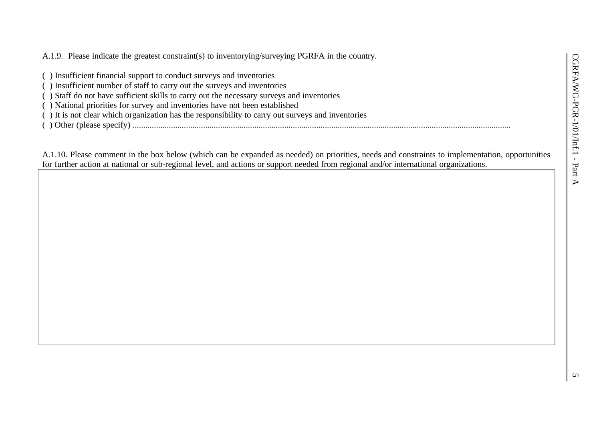A.1.9. Please indicate the greatest constraint(s) to inventorying/surveying PGRFA in the country.

- ( ) Insufficient financial support to conduct surveys and inventories
- ( ) Insufficient number of staff to carry out the surveys and inventories
- ( ) Staff do not have sufficient skills to carry out the necessary surveys and inventories
- ( ) National priorities for survey and inventories have not been established
- ( ) It is not clear which organization has the responsibility to carry out surveys and inventories
- ( ) Other (please specify) .................................................................................................................................................................................

A.1.10. Please comment in the box below (which can be expanded as needed) on priorities, needs and constraints to implementation, opportunities for further action at national or sub-regional level, and actions or support needed from regional and/or international organizations.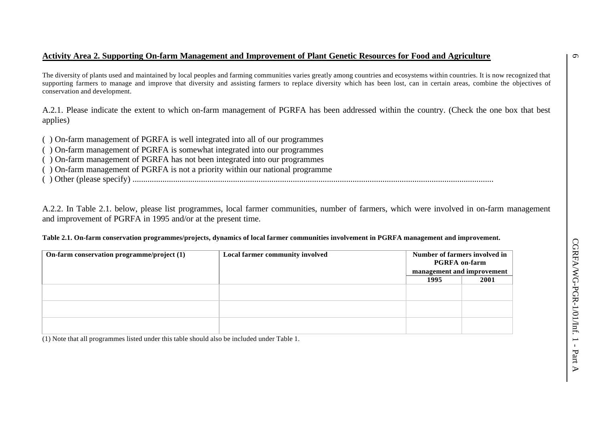## **Activity Area 2. Supporting On-farm Management and Improvement of Plant Genetic Resources for Food and Agriculture**

The diversity of plants used and maintained by local peoples and farming communities varies greatly among countries and ecosystems within countries. It is now recognized that supporting farmers to manage and improve that diversity and assisting farmers to replace diversity which has been lost, can in certain areas, combine the objectives of conservation and development.

A.2.1. Please indicate the extent to which on-farm management of PGRFA has been addressed within the country. (Check the one box that best applies)

- ( ) On-farm management of PGRFA is well integrated into all of our programmes
- ( ) On-farm management of PGRFA is somewhat integrated into our programmes
- ( ) On-farm management of PGRFA has not been integrated into our programmes
- ( ) On-farm management of PGRFA is not a priority within our national programme
- ( ) Other (please specify) .........................................................................................................................................................................

A.2.2. In Table 2.1. below, please list programmes, local farmer communities, number of farmers, which were involved in on-farm management and improvement of PGRFA in 1995 and/or at the present time.

#### **Table 2.1. On-farm conservation programmes/projects, dynamics of local farmer communities involvement in PGRFA management and improvement.**

| On-farm conservation programme/project (1) | Local farmer community involved | Number of farmers involved in<br><b>PGRFA</b> on-farm<br>management and improvement |      |
|--------------------------------------------|---------------------------------|-------------------------------------------------------------------------------------|------|
|                                            |                                 | 1995                                                                                | 2001 |
|                                            |                                 |                                                                                     |      |
|                                            |                                 |                                                                                     |      |
|                                            |                                 |                                                                                     |      |

(1) Note that all programmes listed under this table should also be included under Table 1.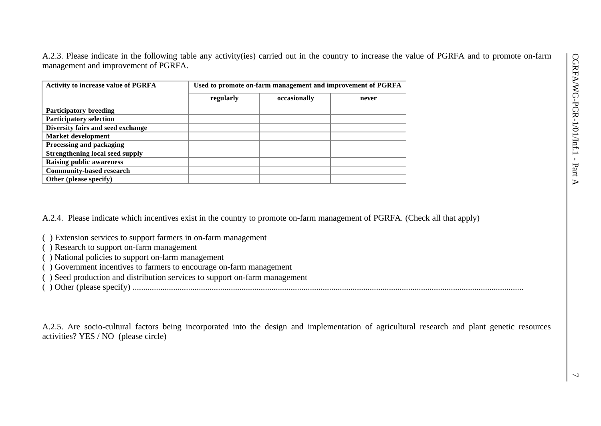A.2.3. Please indicate in the following table any activity(ies) carried out in the country to increase the value of PGRFA and to promote on-farm management and improvement of PGRFA.

| <b>Activity to increase value of PGRFA</b> | Used to promote on-farm management and improvement of PGRFA |              |       |  |  |
|--------------------------------------------|-------------------------------------------------------------|--------------|-------|--|--|
|                                            | regularly                                                   | occasionally | never |  |  |
| <b>Participatory breeding</b>              |                                                             |              |       |  |  |
| <b>Participatory selection</b>             |                                                             |              |       |  |  |
| Diversity fairs and seed exchange          |                                                             |              |       |  |  |
| Market development                         |                                                             |              |       |  |  |
| Processing and packaging                   |                                                             |              |       |  |  |
| <b>Strengthening local seed supply</b>     |                                                             |              |       |  |  |
| <b>Raising public awareness</b>            |                                                             |              |       |  |  |
| <b>Community-based research</b>            |                                                             |              |       |  |  |
| Other (please specify)                     |                                                             |              |       |  |  |

A.2.4. Please indicate which incentives exist in the country to promote on-farm management of PGRFA. (Check all that apply)

- ( ) Extension services to support farmers in on-farm management
- ( ) Research to support on-farm management
- ( ) National policies to support on-farm management
- ( ) Government incentives to farmers to encourage on-farm management
- ( ) Seed production and distribution services to support on-farm management
- ( ) Other (please specify) .......................................................................................................................................................................................

A.2.5. Are socio-cultural factors being incorporated into the design and implementation of agricultural research and plant genetic resources activities? YES / NO (please circle)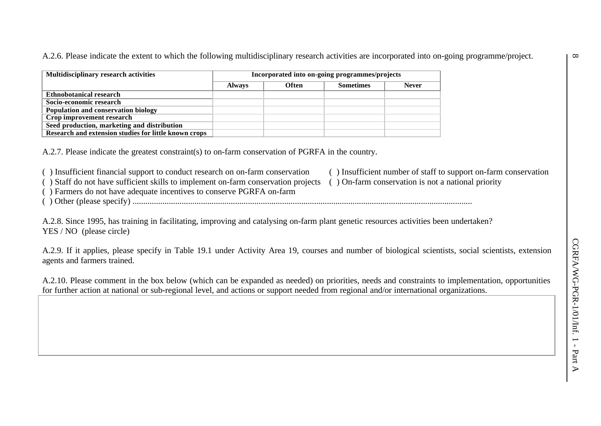A.2.6. Please indicate the extent to which the following multidisciplinary research activities are incorporated into on-going programme/project.

| <b>Multidisciplinary research activities</b>          | Incorporated into on-going programmes/projects |       |                  |              |  |
|-------------------------------------------------------|------------------------------------------------|-------|------------------|--------------|--|
|                                                       | <b>Always</b>                                  | Often | <b>Sometimes</b> | <b>Never</b> |  |
| Ethnobotanical research                               |                                                |       |                  |              |  |
| Socio-economic research                               |                                                |       |                  |              |  |
| Population and conservation biology                   |                                                |       |                  |              |  |
| Crop improvement research                             |                                                |       |                  |              |  |
| Seed production, marketing and distribution           |                                                |       |                  |              |  |
| Research and extension studies for little known crops |                                                |       |                  |              |  |

A.2.7. Please indicate the greatest constraint(s) to on-farm conservation of PGRFA in the country.

( ) Insufficient financial support to conduct research on on-farm conservation ( ) Insufficient number of staff to support on-farm conservation

( ) Staff do not have sufficient skills to implement on-farm conservation projects ( ) On-farm conservation is not a national priority

- ( ) Farmers do not have adequate incentives to conserve PGRFA on-farm
- ( ) Other (please specify) ...............................................................................................................................................................

A.2.8. Since 1995, has training in facilitating, improving and catalysing on-farm plant genetic resources activities been undertaken? YES / NO (please circle)

A.2.9. If it applies, please specify in Table 19.1 under Activity Area 19, courses and number of biological scientists, social scientists, extension agents and farmers trained.

A.2.10. Please comment in the box below (which can be expanded as needed) on priorities, needs and constraints to implementation, opportunities for further action at national or sub-regional level, and actions or support needed from regional and/or international organizations.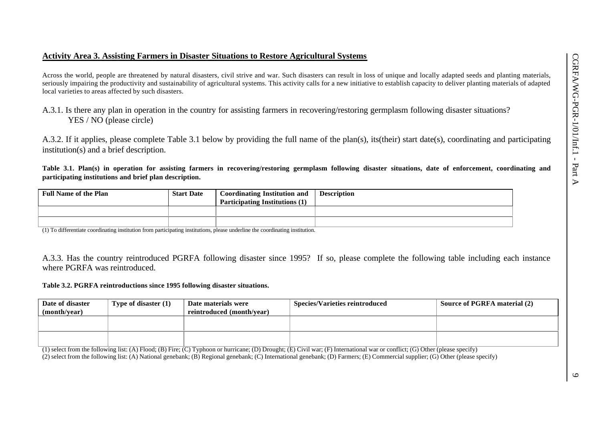#### **Activity Area 3. Assisting Farmers in Disaster Situations to Restore Agricultural Systems**

Across the world, people are threatened by natural disasters, civil strive and war. Such disasters can result in loss of unique and locally adapted seeds and planting materials, seriously impairing the productivity and sustainability of agricultural systems. This activity calls for a new initiative to establish capacity to deliver planting materials of adapted local varieties to areas affected by such disasters.

A.3.1. Is there any plan in operation in the country for assisting farmers in recovering/restoring germplasm following disaster situations? YES / NO (please circle)

A.3.2. If it applies, please complete Table 3.1 below by providing the full name of the plan(s), its(their) start date(s), coordinating and participating institution(s) and a brief description.

**Table 3.1. Plan(s) in operation for assisting farmers in recovering/restoring germplasm following disaster situations, date of enforcement, coordinating and participating institutions and brief plan description.**

| <b>Full Name of the Plan</b> | <b>Start Date</b> | <b>Coordinating Institution and</b>   | <b>Description</b> |
|------------------------------|-------------------|---------------------------------------|--------------------|
|                              |                   | <b>Participating Institutions (1)</b> |                    |
|                              |                   |                                       |                    |
|                              |                   |                                       |                    |

(1) To differentiate coordinating institution from participating institutions, please underline the coordinating institution.

A.3.3. Has the country reintroduced PGRFA following disaster since 1995? If so, please complete the following table including each instance where PGRFA was reintroduced.

#### **Table 3.2. PGRFA reintroductions since 1995 following disaster situations.**

| Date of disaster<br>(month/year) | Type of disaster (1) | Date materials were<br>reintroduced (month/year) | <b>Species/Varieties reintroduced</b> | <b>Source of PGRFA material (2)</b> |
|----------------------------------|----------------------|--------------------------------------------------|---------------------------------------|-------------------------------------|
|                                  |                      |                                                  |                                       |                                     |
|                                  |                      |                                                  |                                       |                                     |

(1) select from the following list: (A) Flood; (B) Fire; (C) Typhoon or hurricane; (D) Drought; (E) Civil war; (F) International war or conflict; (G) Other (please specify) (2) select from the following list: (A) National genebank; (B) Regional genebank; (C) International genebank; (D) Farmers; (E) Commercial supplier; (G) Other (please specify)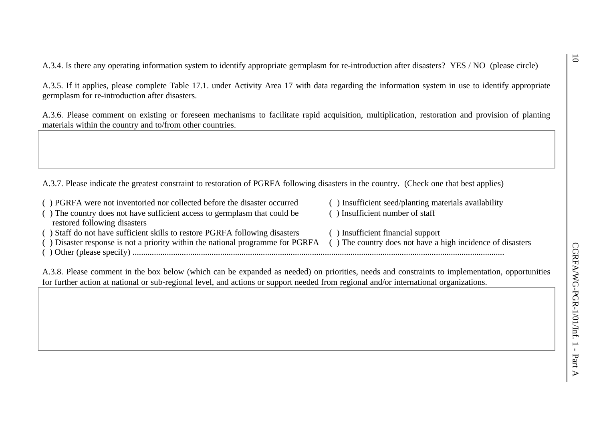A.3.4. Is there any operating information system to identify appropriate germplasm for re-introduction after disasters? YES / NO (please circle)

A.3.5. If it applies, please complete Table 17.1. under Activity Area 17 with data regarding the information system in use to identify appropriate germplasm for re-introduction after disasters.

A.3.6. Please comment on existing or foreseen mechanisms to facilitate rapid acquisition, multiplication, restoration and provision of planting materials within the country and to/from other countries.

A.3.7. Please indicate the greatest constraint to restoration of PGRFA following disasters in the country. (Check one that best applies)

- ( ) PGRFA were not inventoried nor collected before the disaster occurred ( ) Insufficient seed/planting materials availability
- ( ) The country does not have sufficient access to germplasm that could be restored following disasters
- ( ) Staff do not have sufficient skills to restore PGRFA following disasters ( ) Insufficient financial support
- ( ) Disaster response is not a priority within the national programme for PGRFA ( ) The country does not have a high incidence of disasters
- ( ) Other (please specify) ..............................................................................................................................................................................
- 

( ) Insufficient number of staff

- 
- A.3.8. Please comment in the box below (which can be expanded as needed) on priorities, needs and constraints to implementation, opportunities for further action at national or sub-regional level, and actions or support needed from regional and/or international organizations.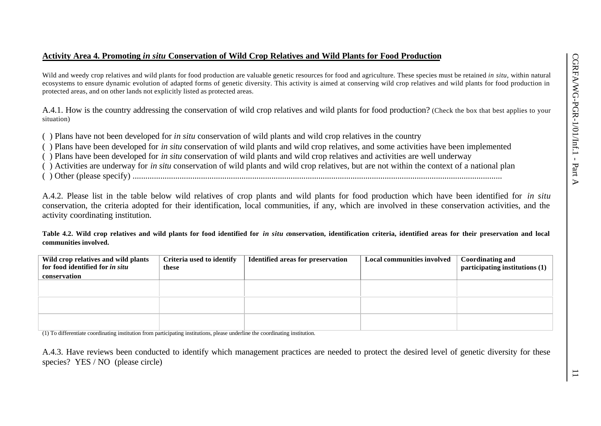### **Activity Area 4. Promoting** *in situ* **Conservation of Wild Crop Relatives and Wild Plants for Food Production**

Wild and weedy crop relatives and wild plants for food production are valuable genetic resources for food and agriculture. These species must be retained *in situ*, within natural ecosystems to ensure dynamic evolution of adapted forms of genetic diversity. This activity is aimed at conserving wild crop relatives and wild plants for food production in protected areas, and on other lands not explicitly listed as protected areas.

A.4.1. How is the country addressing the conservation of wild crop relatives and wild plants for food production? (Check the box that best applies to your situation)

( ) Plans have not been developed for *in situ* conservation of wild plants and wild crop relatives in the country

( ) Plans have been developed for *in situ* conservation of wild plants and wild crop relatives, and some activities have been implemented

( ) Plans have been developed for *in situ* conservation of wild plants and wild crop relatives and activities are well underway

( ) Activities are underway for *in situ* conservation of wild plants and wild crop relatives, but are not within the context of a national plan

( ) Other (please specify) .............................................................................................................................................................................

A.4.2. Please list in the table below wild relatives of crop plants and wild plants for food production which have been identified for *in situ* conservation, the criteria adopted for their identification, local communities, if any, which are involved in these conservation activities, and the activity coordinating institution.

**Table 4.2. Wild crop relatives and wild plants for food identified for** *in situ c***onservation, identification criteria, identified areas for their preservation and local communities involved.**

| Wild crop relatives and wild plants<br>for food identified for in situ | Criteria used to identify<br>these | <b>Identified areas for preservation</b> | <b>Local communities involved</b> | <b>Coordinating and</b><br>participating institutions (1) |
|------------------------------------------------------------------------|------------------------------------|------------------------------------------|-----------------------------------|-----------------------------------------------------------|
| conservation                                                           |                                    |                                          |                                   |                                                           |
|                                                                        |                                    |                                          |                                   |                                                           |
|                                                                        |                                    |                                          |                                   |                                                           |
|                                                                        |                                    |                                          |                                   |                                                           |
|                                                                        |                                    |                                          |                                   |                                                           |
|                                                                        |                                    |                                          |                                   |                                                           |
|                                                                        |                                    |                                          |                                   |                                                           |

(1) To differentiate coordinating institution from participating institutions, please underline the coordinating institution.

A.4.3. Have reviews been conducted to identify which management practices are needed to protect the desired level of genetic diversity for these species? YES / NO (please circle)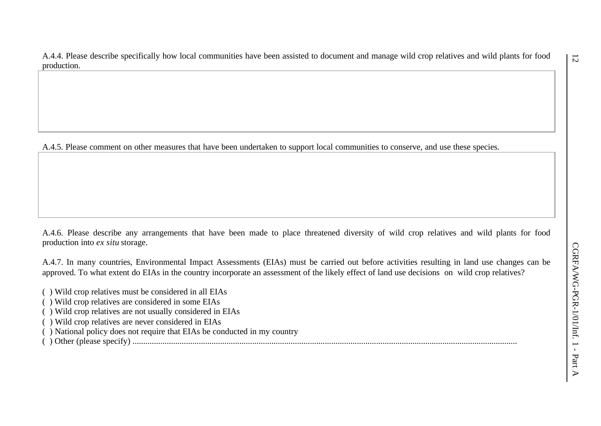A.4.4. Please describe specifically how local communities have been assisted to document and manage wild crop relatives and wild plants for food production.

A.4.5. Please comment on other measures that have been undertaken to support local communities to conserve, and use these species.

A.4.6. Please describe any arrangements that have been made to place threatened diversity of wild crop relatives and wild plants for food production into *ex situ* storage.

A.4.7. In many countries, Environmental Impact Assessments (EIAs) must be carried out before activities resulting in land use changes can be approved. To what extent do EIAs in the country incorporate an assessment of the likely effect of land use decisions on wild crop relatives?

- ( ) Wild crop relatives must be considered in all EIAs
- ( ) Wild crop relatives are considered in some EIAs
- ( ) Wild crop relatives are not usually considered in EIAs
- ( ) Wild crop relatives are never considered in EIAs
- ( ) National policy does not require that EIAs be conducted in my country
- ( ) Other (please specify) ....................................................................................................................................................................................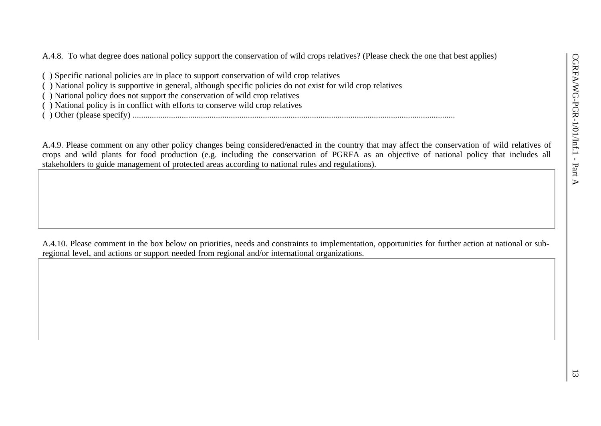A.4.8. To what degree does national policy support the conservation of wild crops relatives? (Please check the one that best applies)

- ( ) Specific national policies are in place to support conservation of wild crop relatives
- ( ) National policy is supportive in general, although specific policies do not exist for wild crop relatives
- ( ) National policy does not support the conservation of wild crop relatives
- ( ) National policy is in conflict with efforts to conserve wild crop relatives
- ( ) Other (please specify) .......................................................................................................................................................

A.4.9. Please comment on any other policy changes being considered/enacted in the country that may affect the conservation of wild relatives of crops and wild plants for food production (e.g. including the conservation of PGRFA as an objective of national policy that includes all stakeholders to guide management of protected areas according to national rules and regulations).

A.4.10. Please comment in the box below on priorities, needs and constraints to implementation, opportunities for further action at national or subregional level, and actions or support needed from regional and/or international organizations.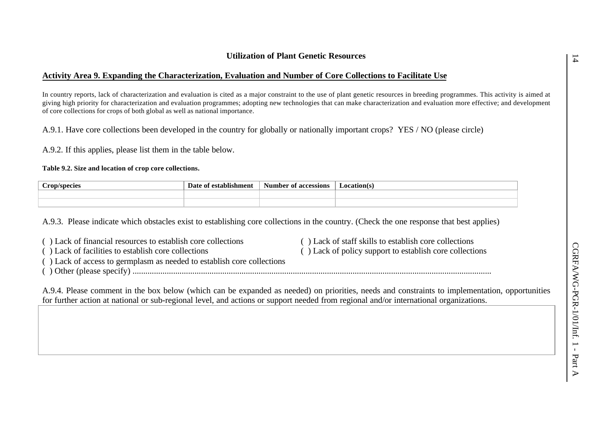# **Activity Area 9. Expanding the Characterization, Evaluation and Number of Core Collections to Facilitate Use**

In country reports, lack of characterization and evaluation is cited as a major constraint to the use of plant genetic resources in breeding programmes. This activity is aimed at giving high priority for characterization and evaluation programmes; adopting new technologies that can make characterization and evaluation more effective; and development of core collections for crops of both global as well as national importance.

A.9.1. Have core collections been developed in the country for globally or nationally important crops? YES / NO (please circle)

A.9.2. If this applies, please list them in the table below.

#### **Table 9.2. Size and location of crop core collections.**

| $\sim$<br>`ron/species | stablishmen | accessions<br>'har<br>Num<br>വ | <b>Location</b> (s) |
|------------------------|-------------|--------------------------------|---------------------|
|                        |             |                                |                     |
|                        |             |                                |                     |

A.9.3. Please indicate which obstacles exist to establishing core collections in the country. (Check the one response that best applies)

| () Lack of financial resources to establish core collections           | () Lack of staff skills to establish core collections   |
|------------------------------------------------------------------------|---------------------------------------------------------|
| () Lack of facilities to establish core collections                    | () Lack of policy support to establish core collections |
| () Lack of access to germplasm as needed to establish core collections |                                                         |
|                                                                        |                                                         |
|                                                                        |                                                         |

A.9.4. Please comment in the box below (which can be expanded as needed) on priorities, needs and constraints to implementation, opportunities for further action at national or sub-regional level, and actions or support needed from regional and/or international organizations.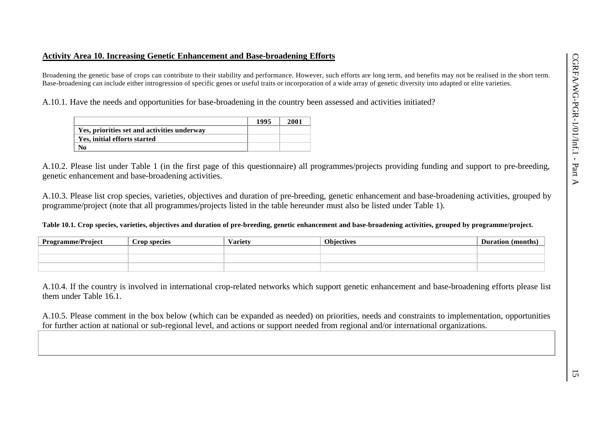# **Activity Area 10. Increasing Genetic Enhancement and Base-broadening Efforts**

Broadening the genetic base of crops can contribute to their stability and performance. However, such efforts are long term, and benefits may not be realised in the short term. Base-broadening can include either introgression of specific genes or useful traits or incorporation of a wide array of genetic diversity into adapted or elite varieties.

A.10.1. Have the needs and opportunities for base-broadening in the country been assessed and activities initiated?

|                                             | 1995 | 2001 |
|---------------------------------------------|------|------|
| Yes, priorities set and activities underway |      |      |
| Yes, initial efforts started                |      |      |
|                                             |      |      |

A.10.2. Please list under Table 1 (in the first page of this questionnaire) all programmes/projects providing funding and support to pre-breeding, genetic enhancement and base-broadening activities.

A.10.3. Please list crop species, varieties, objectives and duration of pre-breeding, genetic enhancement and base-broadening activities, grouped by programme/project (note that all programmes/projects listed in the table hereunder must also be listed under Table 1).

**Table 10.1. Crop species, varieties, objectives and duration of pre-breeding, genetic enhancement and base-broadening activities, grouped by programme/project.**

| <b>Programme/Project</b> | $\sim$<br>rop species | $\mathbf{r}$<br>Variet | <b>Ohiectives</b><br>l V L.J | (months)<br>ratıon |
|--------------------------|-----------------------|------------------------|------------------------------|--------------------|
|                          |                       |                        |                              |                    |
|                          |                       |                        |                              |                    |
|                          |                       |                        |                              |                    |

A.10.4. If the country is involved in international crop-related networks which support genetic enhancement and base-broadening efforts please list them under Table 16.1.

A.10.5. Please comment in the box below (which can be expanded as needed) on priorities, needs and constraints to implementation, opportunities for further action at national or sub-regional level, and actions or support needed from regional and/or international organizations.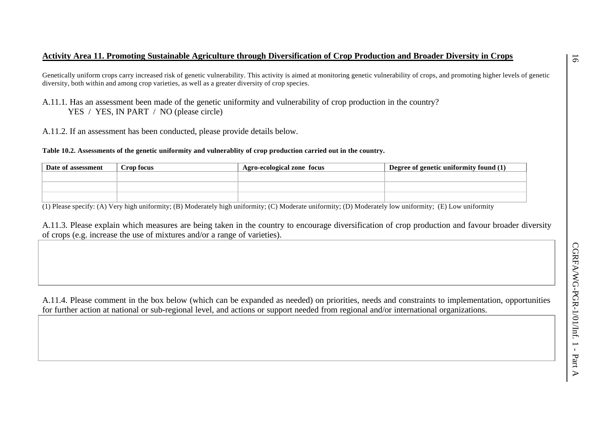# **Activity Area 11. Promoting Sustainable Agriculture through Diversification of Crop Production and Broader Diversity in Crops**

Genetically uniform crops carry increased risk of genetic vulnerability. This activity is aimed at monitoring genetic vulnerability of crops, and promoting higher levels of genetic diversity, both within and among crop varieties, as well as a greater diversity of crop species.

- A.11.1. Has an assessment been made of the genetic uniformity and vulnerability of crop production in the country? YES / YES, IN PART / NO (please circle)
- A.11.2. If an assessment has been conducted, please provide details below.

**Table 10.2. Assessments of the genetic uniformity and vulnerablity of crop production carried out in the country.**

| Date of assessment | Crop focus | Agro-ecological zone focus | <sup>1</sup> Degree of genetic uniformity found (1) |
|--------------------|------------|----------------------------|-----------------------------------------------------|
|                    |            |                            |                                                     |
|                    |            |                            |                                                     |
|                    |            |                            |                                                     |

(1) Please specify: (A) Very high uniformity; (B) Moderately high uniformity; (C) Moderate uniformity; (D) Moderately low uniformity; (E) Low uniformity

A.11.3. Please explain which measures are being taken in the country to encourage diversification of crop production and favour broader diversity of crops (e.g. increase the use of mixtures and/or a range of varieties).

A.11.4. Please comment in the box below (which can be expanded as needed) on priorities, needs and constraints to implementation, opportunities for further action at national or sub-regional level, and actions or support needed from regional and/or international organizations.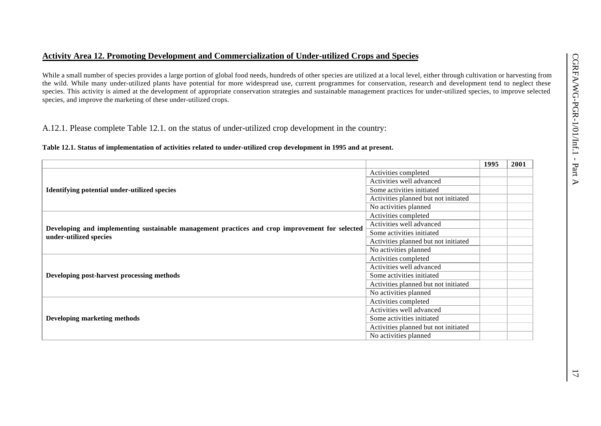### **Activity Area 12. Promoting Development and Commercialization of Under-utilized Crops and Species**

While a small number of species provides a large portion of global food needs, hundreds of other species are utilized at a local level, either through cultivation or harvesting from the wild. While many under-utilized plants have potential for more widespread use, current programmes for conservation, research and development tend to neglect these species. This activity is aimed at the development of appropriate conservation strategies and sustainable management practices for under-utilized species, to improve selected species, and improve the marketing of these under-utilized crops.

A.12.1. Please complete Table 12.1. on the status of under-utilized crop development in the country:

#### **Table 12.1. Status of implementation of activities related to under-utilized crop development in 1995 and at present.**

|                                                                                                |                                      | 1995 | 2001 |
|------------------------------------------------------------------------------------------------|--------------------------------------|------|------|
|                                                                                                | Activities completed                 |      |      |
|                                                                                                | Activities well advanced             |      |      |
| <b>Identifying potential under-utilized species</b>                                            | Some activities initiated            |      |      |
|                                                                                                | Activities planned but not initiated |      |      |
|                                                                                                | No activities planned                |      |      |
|                                                                                                | Activities completed                 |      |      |
| Developing and implementing sustainable management practices and crop improvement for selected | Activities well advanced             |      |      |
| under-utilized species                                                                         | Some activities initiated            |      |      |
|                                                                                                | Activities planned but not initiated |      |      |
|                                                                                                | No activities planned                |      |      |
|                                                                                                | Activities completed                 |      |      |
|                                                                                                | Activities well advanced             |      |      |
| Developing post-harvest processing methods                                                     | Some activities initiated            |      |      |
|                                                                                                | Activities planned but not initiated |      |      |
|                                                                                                | No activities planned                |      |      |
|                                                                                                | Activities completed                 |      |      |
|                                                                                                | Activities well advanced             |      |      |
| <b>Developing marketing methods</b>                                                            | Some activities initiated            |      |      |
|                                                                                                | Activities planned but not initiated |      |      |
|                                                                                                | No activities planned                |      |      |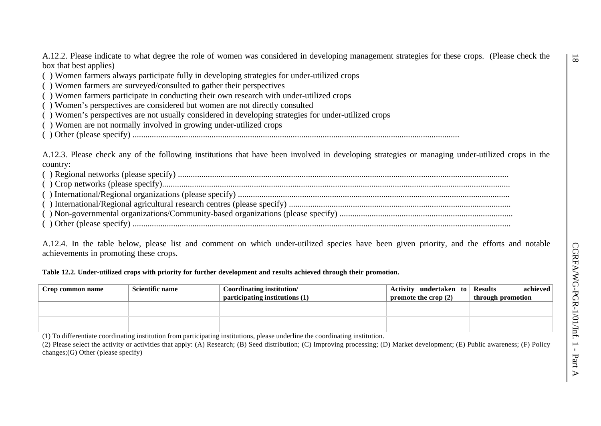A.12.2. Please indicate to what degree the role of women was considered in developing management strategies for these crops. (Please check the box that best applies)

( ) Women farmers always participate fully in developing strategies for under-utilized crops

( ) Women farmers are surveyed/consulted to gather their perspectives

( ) Women farmers participate in conducting their own research with under-utilized crops

( ) Women's perspectives are considered but women are not directly consulted

( ) Women's perspectives are not usually considered in developing strategies for under-utilized crops

( ) Women are not normally involved in growing under-utilized crops

( ) Other (please specify) .........................................................................................................................................................

A.12.3. Please check any of the following institutions that have been involved in developing strategies or managing under-utilized crops in the country:

A.12.4. In the table below, please list and comment on which under-utilized species have been given priority, and the efforts and notable achievements in promoting these crops.

#### **Table 12.2. Under-utilized crops with priority for further development and results achieved through their promotion.**

| Crop common name | <b>Scientific name</b> | Coordinating institution<br>participating institutions (1) | Activity undertaken to Results<br>promote the crop $(2)$ | achieved<br>through promotion |
|------------------|------------------------|------------------------------------------------------------|----------------------------------------------------------|-------------------------------|
|                  |                        |                                                            |                                                          |                               |
|                  |                        |                                                            |                                                          |                               |

(1) To differentiate coordinating institution from participating institutions, please underline the coordinating institution.

(2) Please select the activity or activities that apply: (A) Research; (B) Seed distribution; (C) Improving processing; (D) Market development; (E) Public awareness; (F) Policy changes;(G) Other (please specify)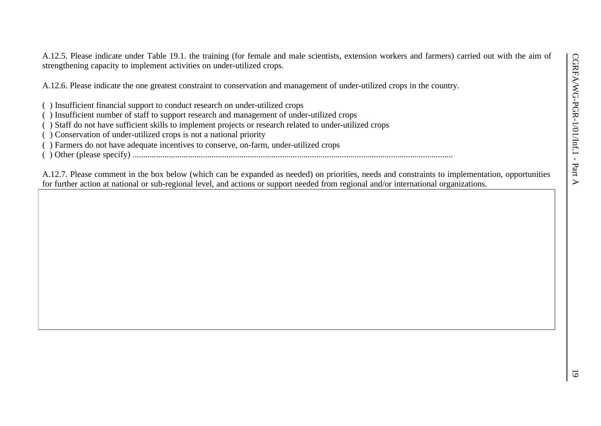A.12.5. Please indicate under Table 19.1. the training (for female and male scientists, extension workers and farmers) carried out with the aim of strengthening capacity to implement activities on under-utilized crops.

A.12.6. Please indicate the one greatest constraint to conservation and management of under-utilized crops in the country.

- ( ) Insufficient financial support to conduct research on under-utilized crops
- ( ) Insufficient number of staff to support research and management of under-utilized crops
- ( ) Staff do not have sufficient skills to implement projects or research related to under-utilized crops
- ( ) Conservation of under-utilized crops is not a national priority
- ( ) Farmers do not have adequate incentives to conserve, on-farm, under-utilized crops
- ( ) Other (please specify) ......................................................................................................................................................

A.12.7. Please comment in the box below (which can be expanded as needed) on priorities, needs and constraints to implementation, opportunities for further action at national or sub-regional level, and actions or support needed from regional and/or international organizations.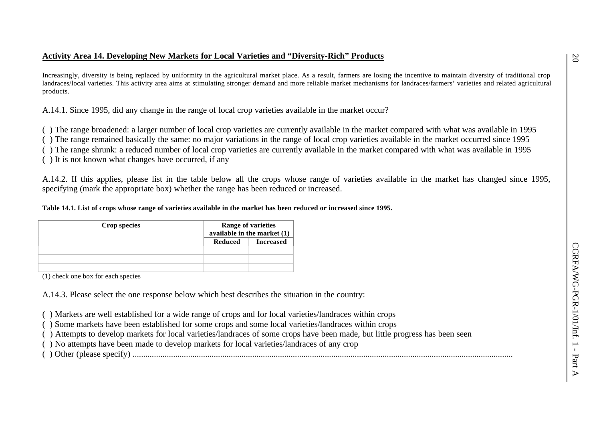# **Activity Area 14. Developing New Markets for Local Varieties and "Diversity-Rich" Products**

Increasingly, diversity is being replaced by uniformity in the agricultural market place. As a result, farmers are losing the incentive to maintain diversity of traditional crop landraces/local varieties. This activity area aims at stimulating stronger demand and more reliable market mechanisms for landraces/farmers' varieties and related agricultural products.

A.14.1. Since 1995, did any change in the range of local crop varieties available in the market occur?

( ) The range broadened: a larger number of local crop varieties are currently available in the market compared with what was available in 1995

( ) The range remained basically the same: no major variations in the range of local crop varieties available in the market occurred since 1995

( ) The range shrunk: a reduced number of local crop varieties are currently available in the market compared with what was available in 1995

( ) It is not known what changes have occurred, if any

A.14.2. If this applies, please list in the table below all the crops whose range of varieties available in the market has changed since 1995, specifying (mark the appropriate box) whether the range has been reduced or increased.

## **Table 14.1. List of crops whose range of varieties available in the market has been reduced or increased since 1995.**

| Crop species |         | <b>Range of varieties</b><br>available in the market $(1)$ |
|--------------|---------|------------------------------------------------------------|
|              | Reduced | <b>Increased</b>                                           |
|              |         |                                                            |
|              |         |                                                            |
|              |         |                                                            |

(1) check one box for each species

A.14.3. Please select the one response below which best describes the situation in the country:

( ) Markets are well established for a wide range of crops and for local varieties/landraces within crops

( ) Some markets have been established for some crops and some local varieties/landraces within crops

( ) Attempts to develop markets for local varieties/landraces of some crops have been made, but little progress has been seen

( ) No attempts have been made to develop markets for local varieties/landraces of any crop

( ) Other (please specify) ..................................................................................................................................................................................

 $\infty$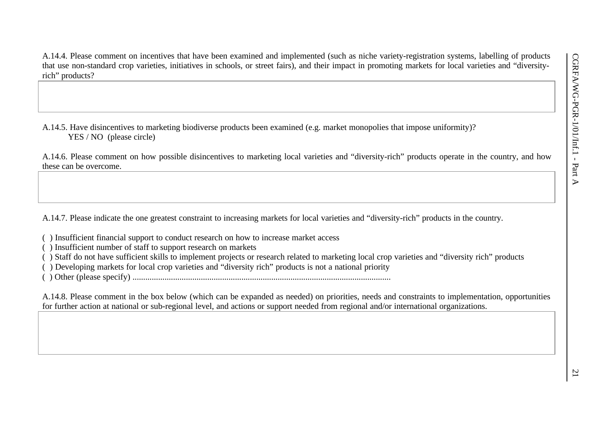A.14.4. Please comment on incentives that have been examined and implemented (such as niche variety-registration systems, labelling of products that use non-standard crop varieties, initiatives in schools, or street fairs), and their impact in promoting markets for local varieties and "diversityrich" products?

A.14.5. Have disincentives to marketing biodiverse products been examined (e.g. market monopolies that impose uniformity)? YES / NO (please circle)

A.14.6. Please comment on how possible disincentives to marketing local varieties and "diversity-rich" products operate in the country, and how these can be overcome.

A.14.7. Please indicate the one greatest constraint to increasing markets for local varieties and "diversity-rich" products in the country.

- ( ) Insufficient financial support to conduct research on how to increase market access
- ( ) Insufficient number of staff to support research on markets
- ( ) Staff do not have sufficient skills to implement projects or research related to marketing local crop varieties and "diversity rich" products
- ( ) Developing markets for local crop varieties and "diversity rich" products is not a national priority
- ( ) Other (please specify) .........................................................................................................................

A.14.8. Please comment in the box below (which can be expanded as needed) on priorities, needs and constraints to implementation, opportunities for further action at national or sub-regional level, and actions or support needed from regional and/or international organizations.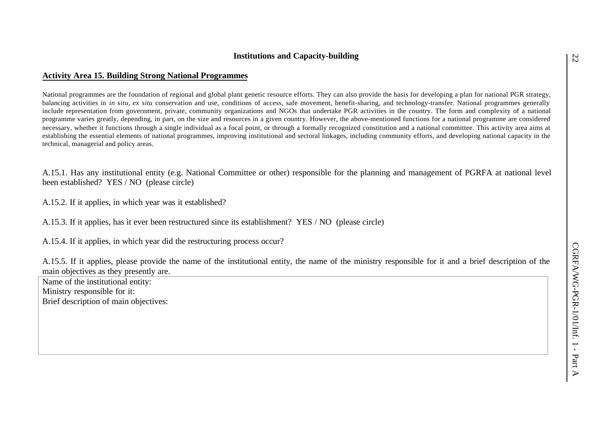# **Institutions and Capacity-building**

## **Activity Area 15. Building Strong National Programmes**

National programmes are the foundation of regional and global plant genetic resource efforts. They can also provide the basis for developing a plan for national PGR strategy, balancing activities in *in situ*, *ex situ* conservation and use, conditions of access, safe movement, benefit-sharing, and technology-transfer. National programmes generally include representation from government, private, community organizations and NGOs that undertake PGR activities in the country. The form and complexity of a national programme varies greatly, depending, in part, on the size and resources in a given country. However, the above-mentioned functions for a national programme are considered necessary, whether it functions through a single individual as a focal point, or through a formally recognized constitution and a national committee. This activity area aims at establishing the essential elements of national programmes, improving institutional and sectoral linkages, including community efforts, and developing national capacity in the technical, managerial and policy areas.

A.15.1. Has any institutional entity (e.g. National Committee or other) responsible for the planning and management of PGRFA at national level been established? YES / NO (please circle)

A.15.2. If it applies, in which year was it established?

A.15.3. If it applies, has it ever been restructured since its establishment? YES / NO (please circle)

A.15.4. If it applies, in which year did the restructuring process occur?

A.15.5. If it applies, please provide the name of the institutional entity, the name of the ministry responsible for it and a brief description of the main objectives as they presently are.

Name of the institutional entity: Ministry responsible for it: Brief description of main objectives: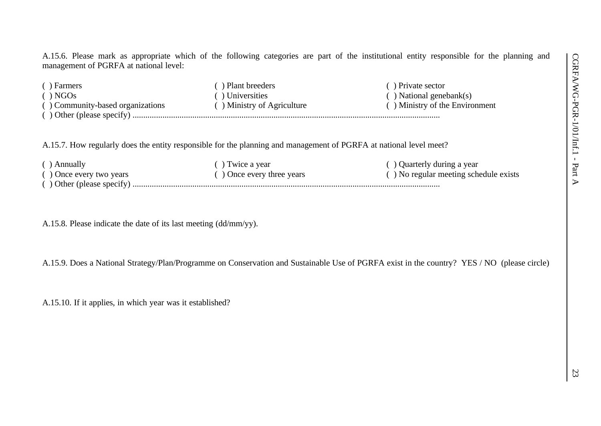A.15.6. Please mark as appropriate which of the following categories are part of the institutional entity responsible for the planning and management of PGRFA at national level:

| ( ) Farmers                                   | ) Plant breeders                    | () Private sector              |
|-----------------------------------------------|-------------------------------------|--------------------------------|
| $( )$ NGOs                                    | Universities                        | $( )$ National genebank $(s)$  |
| () Community-based organizations              | $\hat{ }$ ) Ministry of Agriculture | () Ministry of the Environment |
| $\left( \quad \right)$ Other (please specify) |                                     |                                |

A.15.7. How regularly does the entity responsible for the planning and management of PGRFA at national level meet?

| ( ) Annually                 | ) Twice a year            | () Quarterly during a year            |
|------------------------------|---------------------------|---------------------------------------|
| $($ ) Once every two years   | () Once every three years | () No regular meeting schedule exists |
| $( )$ Other (please specify) |                           |                                       |

A.15.8. Please indicate the date of its last meeting (dd/mm/yy).

A.15.9. Does a National Strategy/Plan/Programme on Conservation and Sustainable Use of PGRFA exist in the country? YES / NO (please circle)

A.15.10. If it applies, in which year was it established?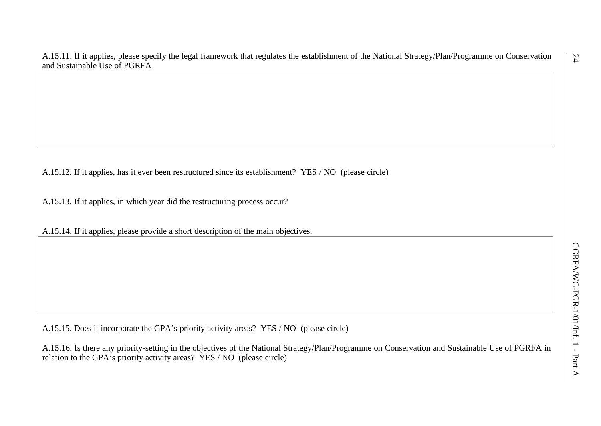A.15.11. If it applies, please specify the legal framework that regulates the establishment of the National Strategy/Plan/Programme on Conservation and Sustainable Use of PGRFA

A.15.12. If it applies, has it ever been restructured since its establishment? YES / NO (please circle)

A.15.13. If it applies, in which year did the restructuring process occur?

A.15.14. If it applies, please provide a short description of the main objectives.

A.15.15. Does it incorporate the GPA's priority activity areas? YES / NO (please circle)

A.15.16. Is there any priority-setting in the objectives of the National Strategy/Plan/Programme on Conservation and Sustainable Use of PGRFA in relation to the GPA's priority activity areas? YES / NO (please circle)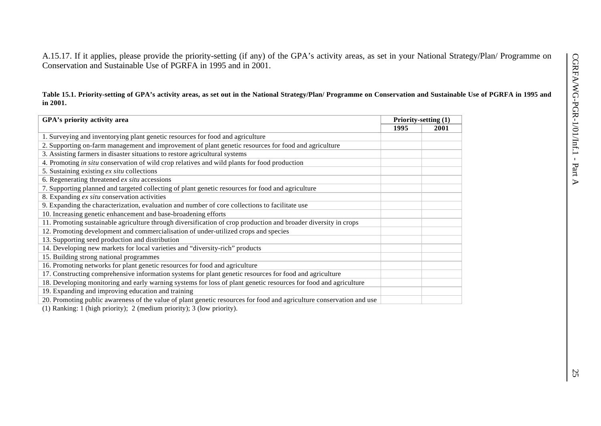A.15.17. If it applies, please provide the priority-setting (if any) of the GPA's activity areas, as set in your National Strategy/Plan/ Programme on Conservation and Sustainable Use of PGRFA in 1995 and in 2001.

**Table 15.1. Priority-setting of GPA's activity areas, as set out in the National Strategy/Plan/ Programme on Conservation and Sustainable Use of PGRFA in 1995 and in 2001.**

| GPA's priority activity area                                                                                         |      | Priority-setting (1) |
|----------------------------------------------------------------------------------------------------------------------|------|----------------------|
|                                                                                                                      | 1995 | 2001                 |
| 1. Surveying and inventorying plant genetic resources for food and agriculture                                       |      |                      |
| 2. Supporting on-farm management and improvement of plant genetic resources for food and agriculture                 |      |                      |
| 3. Assisting farmers in disaster situations to restore agricultural systems                                          |      |                      |
| 4. Promoting in situ conservation of wild crop relatives and wild plants for food production                         |      |                      |
| 5. Sustaining existing ex situ collections                                                                           |      |                      |
| 6. Regenerating threatened ex situ accessions                                                                        |      |                      |
| 7. Supporting planned and targeted collecting of plant genetic resources for food and agriculture                    |      |                      |
| 8. Expanding ex situ conservation activities                                                                         |      |                      |
| 9. Expanding the characterization, evaluation and number of core collections to facilitate use                       |      |                      |
| 10. Increasing genetic enhancement and base-broadening efforts                                                       |      |                      |
| 11. Promoting sustainable agriculture through diversification of crop production and broader diversity in crops      |      |                      |
| 12. Promoting development and commercialisation of under-utilized crops and species                                  |      |                      |
| 13. Supporting seed production and distribution                                                                      |      |                      |
| 14. Developing new markets for local varieties and "diversity-rich" products                                         |      |                      |
| 15. Building strong national programmes                                                                              |      |                      |
| 16. Promoting networks for plant genetic resources for food and agriculture                                          |      |                      |
| 17. Constructing comprehensive information systems for plant genetic resources for food and agriculture              |      |                      |
| 18. Developing monitoring and early warning systems for loss of plant genetic resources for food and agriculture     |      |                      |
| 19. Expanding and improving education and training                                                                   |      |                      |
| 20. Promoting public awareness of the value of plant genetic resources for food and agriculture conservation and use |      |                      |

(1) Ranking: 1 (high priority); 2 (medium priority); 3 (low priority).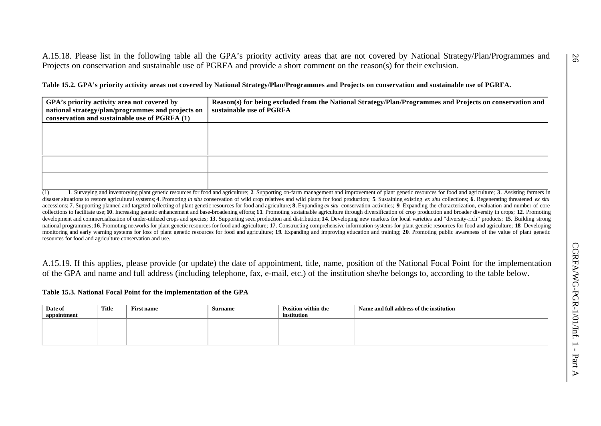A.15.18. Please list in the following table all the GPA's priority activity areas that are not covered by National Strategy/Plan/Programmes and Projects on conservation and sustainable use of PGRFA and provide a short comment on the reason(s) for their exclusion.

**Table 15.2. GPA's priority activity areas not covered by National Strategy/Plan/Programmes and Projects on conservation and sustainable use of PGRFA.**

| GPA's priority activity area not covered by<br>national strategy/plan/programmes and projects on<br>conservation and sustainable use of PGRFA (1) | Reason(s) for being excluded from the National Strategy/Plan/Programmes and Projects on conservation and<br>sustainable use of PGRFA |
|---------------------------------------------------------------------------------------------------------------------------------------------------|--------------------------------------------------------------------------------------------------------------------------------------|
|                                                                                                                                                   |                                                                                                                                      |
|                                                                                                                                                   |                                                                                                                                      |
|                                                                                                                                                   |                                                                                                                                      |
|                                                                                                                                                   |                                                                                                                                      |

(1) 1. Surveying and inventorying plant genetic resources for food and agriculture; 2. Supporting on-farm management and improvement of plant genetic resources for food and agriculture; 3. Assisting farmers in disaster situations to restore agricultural systems; 4. Promoting in situ conservation of wild crop relatives and wild plants for food production; 5. Sustaining existing ex situ collections; 6. Regenerating threatened ex accessions; 7. Supporting planned and targeted collecting of plant genetic resources for food and agriculture; 8. Expanding ex situ conservation activities; 9. Expanding the characterization, evaluation and number of core collections to facilitate use; 10. Increasing genetic enhancement and base-broadening efforts; 11. Promoting sustainable agriculture through diversification of crop production and broader diversity in crops; 12. Promoting development and commercialization of under-utilized crops and species; 13. Supporting seed production and distribution; 14. Developing new markets for local varieties and "diversity-rich" products; 15. Building strong national programmes: 16. Promoting networks for plant genetic resources for food and agriculture: 17. Constructing comprehensive information systems for plant genetic resources for food and agriculture: 18. Developing monitoring and early warning systems for loss of plant genetic resources for food and agriculture; 19. Expanding and improving education and training; 20. Promoting public awareness of the value of plant genetic resources for food and agriculture conservation and use.

A.15.19. If this applies, please provide (or update) the date of appointment, title, name, position of the National Focal Point for the implementation of the GPA and name and full address (including telephone, fax, e-mail, etc.) of the institution she/he belongs to, according to the table below.

#### **Table 15.3. National Focal Point for the implementation of the GPA**

| Date of<br>appointment | Title | <b>First name</b> | <b>Surname</b> | Position within the<br>institution | Name and full address of the institution |
|------------------------|-------|-------------------|----------------|------------------------------------|------------------------------------------|
|                        |       |                   |                |                                    |                                          |
|                        |       |                   |                |                                    |                                          |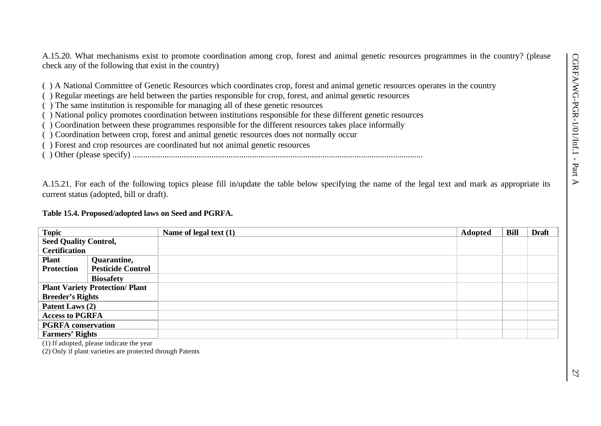A.15.20. What mechanisms exist to promote coordination among crop, forest and animal genetic resources programmes in the country? (please check any of the following that exist in the country)

( ) A National Committee of Genetic Resources which coordinates crop, forest and animal genetic resources operates in the country

( ) Regular meetings are held between the parties responsible for crop, forest, and animal genetic resources

- ( ) The same institution is responsible for managing all of these genetic resources
- ( ) National policy promotes coordination between institutions responsible for these different genetic resources
- ( ) Coordination between these programmes responsible for the different resources takes place informally
- ( ) Coordination between crop, forest and animal genetic resources does not normally occur
- ( ) Forest and crop resources are coordinated but not animal genetic resources
- ( ) Other (please specify) ........................................................................................................................................

A.15.21. For each of the following topics please fill in/update the table below specifying the name of the legal text and mark as appropriate its current status (adopted, bill or draft).

# **Table 15.4. Proposed/adopted laws on Seed and PGRFA.**

| <b>Topic</b>                           |                          | Name of legal text $(1)$ | Adopted | <b>Bill</b> | <b>Draft</b> |
|----------------------------------------|--------------------------|--------------------------|---------|-------------|--------------|
| <b>Seed Quality Control,</b>           |                          |                          |         |             |              |
| <b>Certification</b>                   |                          |                          |         |             |              |
| <b>Plant</b>                           | Quarantine,              |                          |         |             |              |
| <b>Protection</b>                      | <b>Pesticide Control</b> |                          |         |             |              |
|                                        | <b>Biosafety</b>         |                          |         |             |              |
| <b>Plant Variety Protection/ Plant</b> |                          |                          |         |             |              |
| <b>Breeder's Rights</b>                |                          |                          |         |             |              |
| Patent Laws (2)                        |                          |                          |         |             |              |
| <b>Access to PGRFA</b>                 |                          |                          |         |             |              |
| <b>PGRFA</b> conservation              |                          |                          |         |             |              |
| <b>Farmers' Rights</b>                 |                          |                          |         |             |              |

(1) If adopted, please indicate the year

(2) Only if plant varieties are protected through Patents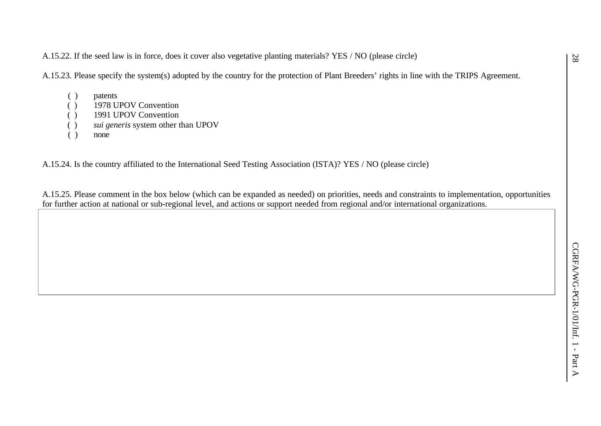A.15.22. If the seed law is in force, does it cover also vegetative planting materials? YES / NO (please circle)

A.15.23. Please specify the system(s) adopted by the country for the protection of Plant Breeders' rights in line with the TRIPS Agreement.

- ( ) patents
- ( ) 1978 UPOV Convention
- ( ) 1991 UPOV Convention
- ( ) *sui generis* system other than UPOV
- ( ) none

A.15.24. Is the country affiliated to the International Seed Testing Association (ISTA)? YES / NO (please circle)

A.15.25. Please comment in the box below (which can be expanded as needed) on priorities, needs and constraints to implementation, opportunities for further action at national or sub-regional level, and actions or support needed from regional and/or international organizations.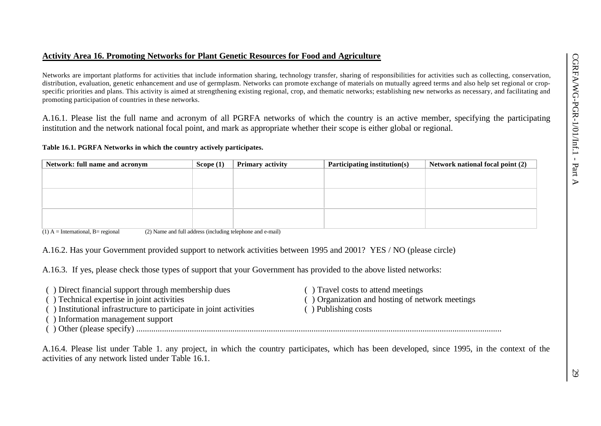## **Activity Area 16. Promoting Networks for Plant Genetic Resources for Food and Agriculture**

Networks are important platforms for activities that include information sharing, technology transfer, sharing of responsibilities for activities such as collecting, conservation, distribution, evaluation, genetic enhancement and use of germplasm. Networks can promote exchange of materials on mutually agreed terms and also help set regional or cropspecific priorities and plans. This activity is aimed at strengthening existing regional, crop, and thematic networks; establishing new networks as necessary, and facilitating and promoting participation of countries in these networks.

A.16.1. Please list the full name and acronym of all PGRFA networks of which the country is an active member, specifying the participating institution and the network national focal point, and mark as appropriate whether their scope is either global or regional.

#### **Table 16.1. PGRFA Networks in which the country actively participates.**

| Network: full name and acronym | Scope $(1)$ | <b>Primary activity</b> | Participating institution(s) | Network national focal point (2) |
|--------------------------------|-------------|-------------------------|------------------------------|----------------------------------|
|                                |             |                         |                              |                                  |
|                                |             |                         |                              |                                  |
|                                |             |                         |                              |                                  |
|                                |             |                         |                              |                                  |
|                                |             |                         |                              |                                  |
|                                |             |                         |                              |                                  |
|                                |             |                         |                              |                                  |

 $(1)$  A = International, B = regional (2) Name and full address (including telephone and e-mail)

A.16.2. Has your Government provided support to network activities between 1995 and 2001? YES / NO (please circle)

A.16.3. If yes, please check those types of support that your Government has provided to the above listed networks:

| () Direct financial support through membership dues                | () Travel costs to attend meetings              |
|--------------------------------------------------------------------|-------------------------------------------------|
| () Technical expertise in joint activities                         | () Organization and hosting of network meetings |
| () Institutional infrastructure to participate in joint activities | $($ ) Publishing costs                          |
| () Information management support                                  |                                                 |
| $( )$ Other (please specify)                                       |                                                 |

A.16.4. Please list under Table 1. any project, in which the country participates, which has been developed, since 1995, in the context of the activities of any network listed under Table 16.1.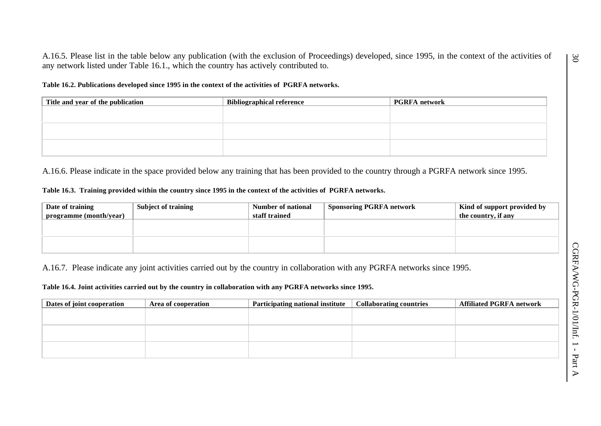A.16.5. Please list in the table below any publication (with the exclusion of Proceedings) developed, since 1995, in the context of the activities of any network listed under Table 16.1., which the country has actively contributed to.

**Table 16.2. Publications developed since 1995 in the context of the activities of PGRFA networks.**

| Title and year of the publication | Bibliographical reference | <b>PGRFA</b> network |
|-----------------------------------|---------------------------|----------------------|
|                                   |                           |                      |
|                                   |                           |                      |
|                                   |                           |                      |
|                                   |                           |                      |
|                                   |                           |                      |
|                                   |                           |                      |

A.16.6. Please indicate in the space provided below any training that has been provided to the country through a PGRFA network since 1995.

#### **Table 16.3. Training provided within the country since 1995 in the context of the activities of PGRFA networks.**

| Date of training<br>programme (month/year) | <b>Subject of training</b> | Number of national<br>staff trained | Sponsoring PGRFA network | Kind of support provided by<br>the country, if any |
|--------------------------------------------|----------------------------|-------------------------------------|--------------------------|----------------------------------------------------|
|                                            |                            |                                     |                          |                                                    |
|                                            |                            |                                     |                          |                                                    |

A.16.7. Please indicate any joint activities carried out by the country in collaboration with any PGRFA networks since 1995.

**Table 16.4. Joint activities carried out by the country in collaboration with any PGRFA networks since 1995.**

| Dates of joint cooperation | Area of cooperation | Participating national institute | <b>Collaborating countries</b> | <b>Affiliated PGRFA network</b> |
|----------------------------|---------------------|----------------------------------|--------------------------------|---------------------------------|
|                            |                     |                                  |                                |                                 |
|                            |                     |                                  |                                |                                 |
|                            |                     |                                  |                                |                                 |
|                            |                     |                                  |                                |                                 |
|                            |                     |                                  |                                |                                 |
|                            |                     |                                  |                                |                                 |

 $\Im$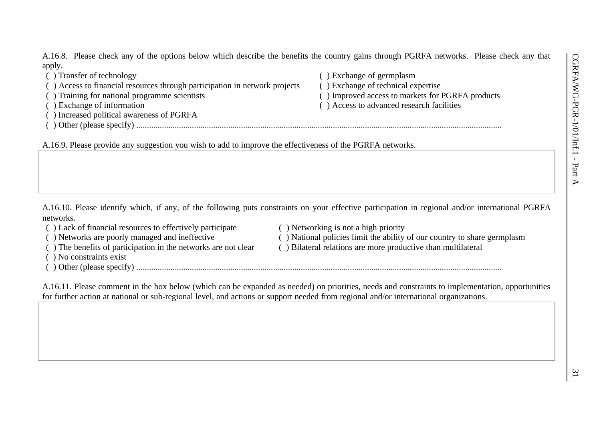A.16.8. Please check any of the options below which describe the benefits the country gains through PGRFA networks. Please check any that apply.

( ) Transfer of technology ( ) Exchange of germplasm ( ) Access to financial resources through participation in network projects ( ) Exchange of technical expertise ( ) Training for national programme scientists ( ) Improved access to markets for PGRFA products ( ) Exchange of information ( ) Access to advanced research facilities ( ) Increased political awareness of PGRFA ( ) Other (please specify) ...........................................................................................................................................................................

A.16.9. Please provide any suggestion you wish to add to improve the effectiveness of the PGRFA networks.

A.16.10. Please identify which, if any, of the following puts constraints on your effective participation in regional and/or international PGRFA networks.

- ( ) Lack of financial resources to effectively participate ( ) Networking is not a high priority
- 
- 
- ( ) No constraints exist
- ( ) Other (please specify) ...........................................................................................................................................................................
- 
- ( ) Networks are poorly managed and ineffective ( ) National policies limit the ability of our country to share germplasm
- ( ) The benefits of participation in the networks are not clear ( ) Bilateral relations are more productive than multilateral

A.16.11. Please comment in the box below (which can be expanded as needed) on priorities, needs and constraints to implementation, opportunities for further action at national or sub-regional level, and actions or support needed from regional and/or international organizations.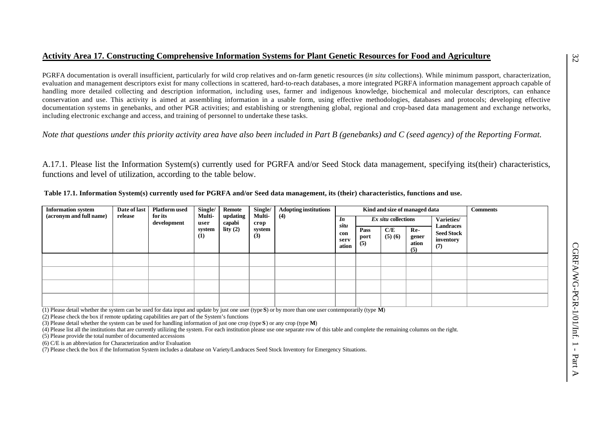## **Activity Area 17. Constructing Comprehensive Information Systems for Plant Genetic Resources for Food and Agriculture**

PGRFA documentation is overall insufficient, particularly for wild crop relatives and on-farm genetic resources (*in situ* collections). While minimum passport, characterization, evaluation and management descriptors exist for many collections in scattered, hard-to-reach databases, a more integrated PGRFA information management approach capable of handling more detailed collecting and description information, including uses, farmer and indigenous knowledge, biochemical and molecular descriptors, can enhance conservation and use. This activity is aimed at assembling information in a usable form, using effective methodologies, databases and protocols; developing effective documentation systems in genebanks, and other PGR activities; and establishing or strengthening global, regional and crop-based data management and exchange networks, including electronic exchange and access, and training of personnel to undertake these tasks.

*Note that questions under this priority activity area have also been included in Part B (genebanks) and C (seed agency) of the Reporting Format.*

A.17.1. Please list the Information System(s) currently used for PGRFA and/or Seed Stock data management, specifying its(their) characteristics, functions and level of utilization, according to the table below.

| <b>Information system</b><br>(acronym and full name) | Date of last<br>release | <b>Platform</b> used<br>for its<br>development | Single/<br>Multi-<br>user | <b>Remote</b><br>updating<br>capabi | Single/<br>Multi-<br>crop | <b>Adopting institutions</b><br>(4) | In<br>situ           |                     | Ex situ collections | Kind and size of managed data | Varieties/<br>Landraces               | <b>Comments</b> |
|------------------------------------------------------|-------------------------|------------------------------------------------|---------------------------|-------------------------------------|---------------------------|-------------------------------------|----------------------|---------------------|---------------------|-------------------------------|---------------------------------------|-----------------|
|                                                      |                         |                                                | system<br>(1)             | lity $(2)$                          | system<br>(3)             |                                     | con<br>serv<br>ation | Pass<br>port<br>(5) | C/E<br>(5)(6)       | Re-<br>gener<br>ation<br>(5)  | <b>Seed Stock</b><br>inventory<br>(7) |                 |
|                                                      |                         |                                                |                           |                                     |                           |                                     |                      |                     |                     |                               |                                       |                 |
|                                                      |                         |                                                |                           |                                     |                           |                                     |                      |                     |                     |                               |                                       |                 |
|                                                      |                         |                                                |                           |                                     |                           |                                     |                      |                     |                     |                               |                                       |                 |
|                                                      |                         |                                                |                           |                                     |                           |                                     |                      |                     |                     |                               |                                       |                 |

 **Table 17.1. Information System(s) currently used for PGRFA and/or Seed data management, its (their) characteristics, functions and use.**

(1) Please detail whether the system can be used for data input and update by just one user (type **S**) or by more than one user contemporarily (type **M**)

(2) Please check the box if remote updating capabilities are part of the System's functions

(3) Please detail whether the system can be used for handling information of just one crop (type **S**) or any crop (type **M**)

(4) Please list all the institutions that are currently utilizing the system. For each institution please use one separate row of this table and complete the remaining columns on the right.

(5) Please provide the total number of documented accessions

(6) C/E is an abbreviation for Characterization and/or Evaluation

(7) Please check the box if the Information System includes a database on Variety/Landraces Seed Stock Inventory for Emergency Situations.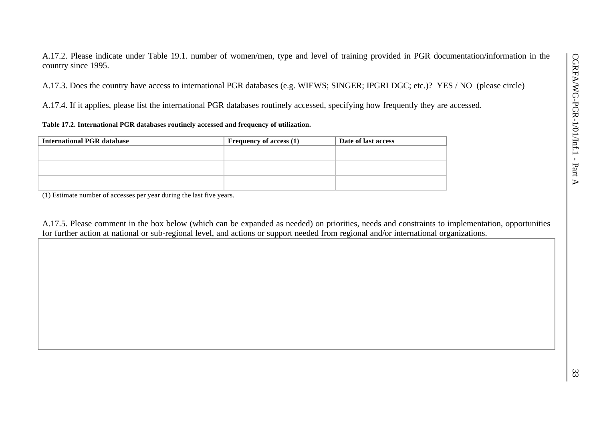A.17.2. Please indicate under Table 19.1. number of women/men, type and level of training provided in PGR documentation/information in the country since 1995.

A.17.3. Does the country have access to international PGR databases (e.g. WIEWS; SINGER; IPGRI DGC; etc.)? YES / NO (please circle)

A.17.4. If it applies, please list the international PGR databases routinely accessed, specifying how frequently they are accessed.

### **Table 17.2. International PGR databases routinely accessed and frequency of utilization.**

| <b>International PGR database</b> | <b>Frequency of access (1)</b> | Date of last access |
|-----------------------------------|--------------------------------|---------------------|
|                                   |                                |                     |
|                                   |                                |                     |
|                                   |                                |                     |
|                                   |                                |                     |
|                                   |                                |                     |
|                                   |                                |                     |

(1) Estimate number of accesses per year during the last five years.

A.17.5. Please comment in the box below (which can be expanded as needed) on priorities, needs and constraints to implementation, opportunities for further action at national or sub-regional level, and actions or support needed from regional and/or international organizations.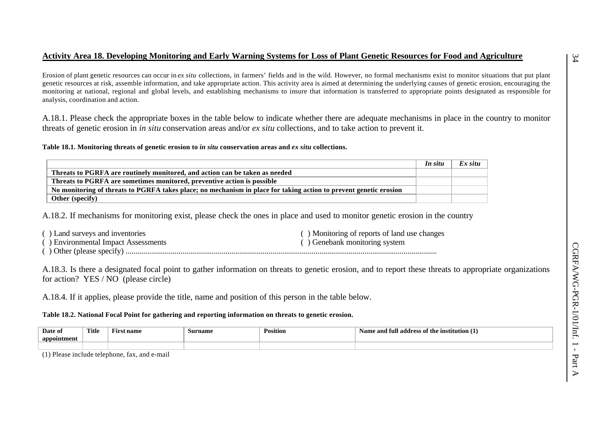# **Activity Area 18. Developing Monitoring and Early Warning Systems for Loss of Plant Genetic Resources for Food and Agriculture**

Erosion of plant genetic resources can occur in *ex situ* collections, in farmers' fields and in the wild. However, no formal mechanisms exist to monitor situations that put plant genetic resources at risk, assemble information, and take appropriate action. This activity area is aimed at determining the underlying causes of genetic erosion, encouraging the monitoring at national, regional and global levels, and establishing mechanisms to insure that information is transferred to appropriate points designated as responsible for analysis, coordination and action.

A.18.1. Please check the appropriate boxes in the table below to indicate whether there are adequate mechanisms in place in the country to monitor threats of genetic erosion in *in situ* conservation areas and/or *ex situ* collections, and to take action to prevent it.

**Table 18.1. Monitoring threats of genetic erosion to** *in situ* **conservation areas and** *ex situ* **collections.**

|                                                                                                                   | In situ | Ex situ |
|-------------------------------------------------------------------------------------------------------------------|---------|---------|
| Threats to PGRFA are routinely monitored, and action can be taken as needed                                       |         |         |
| Threats to PGRFA are sometimes monitored, preventive action is possible                                           |         |         |
| No monitoring of threats to PGRFA takes place; no mechanism in place for taking action to prevent genetic erosion |         |         |
| <b>Other</b> (specify)                                                                                            |         |         |

A.18.2. If mechanisms for monitoring exist, please check the ones in place and used to monitor genetic erosion in the country

| () Land surveys and inventories     | () Monitoring of reports of land use changes |
|-------------------------------------|----------------------------------------------|
| () Environmental Impact Assessments | () Genebank monitoring system                |
|                                     |                                              |

A.18.3. Is there a designated focal point to gather information on threats to genetic erosion, and to report these threats to appropriate organizations for action? YES / NO (please circle)

A.18.4. If it applies, please provide the title, name and position of this person in the table below.

**Table 18.2. National Focal Point for gathering and reporting information on threats to genetic erosion.**

| Date of     | Title | --<br>name | Surname | Position | . .<br>e institution († 1<br>Name and<br>m<br>address<br>s of the |
|-------------|-------|------------|---------|----------|-------------------------------------------------------------------|
| appointment |       |            |         |          |                                                                   |
|             |       |            |         |          |                                                                   |

(1) Please include telephone, fax, and e-mail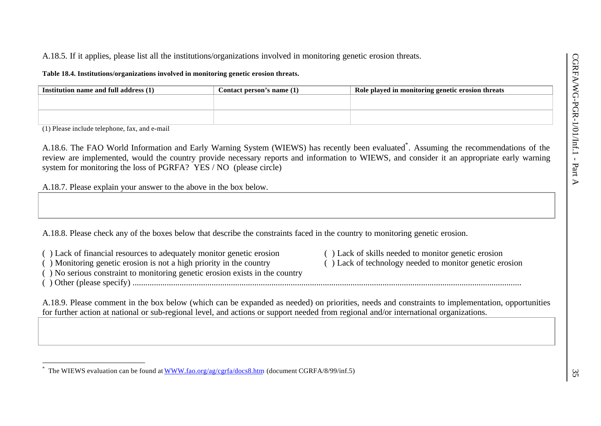# A.18.5. If it applies, please list all the institutions/organizations involved in monitoring genetic erosion threats.

**Table 18.4. Institutions/organizations involved in monitoring genetic erosion threats.**

| Institution name and full address (1) | Contact person's name (1) | Role played in monitoring genetic erosion threats |  |  |
|---------------------------------------|---------------------------|---------------------------------------------------|--|--|
|                                       |                           |                                                   |  |  |
|                                       |                           |                                                   |  |  |
|                                       |                           |                                                   |  |  |
|                                       |                           |                                                   |  |  |

(1) Please include telephone, fax, and e-mail

A.18.6. The FAO World Information and Early Warning System (WIEWS) has recently been evaluated\* . Assuming the recommendations of the review are implemented, would the country provide necessary reports and information to WIEWS, and consider it an appropriate early warning system for monitoring the loss of PGRFA? YES / NO (please circle)

A.18.7. Please explain your answer to the above in the box below.

A.18.8. Please check any of the boxes below that describe the constraints faced in the country to monitoring genetic erosion.

( ) Lack of financial resources to adequately monitor genetic erosion ( ) Lack of skills needed to monitor genetic erosion ( ) Monitoring genetic erosion is not a high priority in the country ( ) Lack of technology needed

 $($ ) Monitoring genetic erosion is not a high priority in the country

( ) No serious constraint to monitoring genetic erosion exists in the country

( ) Other (please specify) ......................................................................................................................................................................................

l

A.18.9. Please comment in the box below (which can be expanded as needed) on priorities, needs and constraints to implementation, opportunities for further action at national or sub-regional level, and actions or support needed from regional and/or international organizations.

<sup>\*</sup> The WIEWS evaluation can be found at WWW.fao.org/ag/cgrfa/docs8.htm (document CGRFA/8/99/inf.5)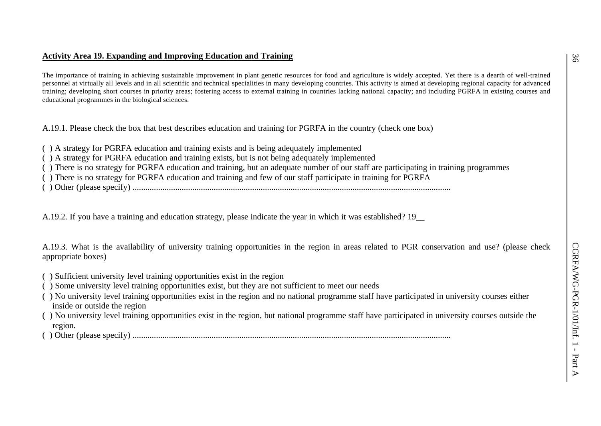# **Activity Area 19. Expanding and Improving Education and Training**

The importance of training in achieving sustainable improvement in plant genetic resources for food and agriculture is widely accepted. Yet there is a dearth of well-trained personnel at virtually all levels and in all scientific and technical specialities in many developing countries. This activity is aimed at developing regional capacity for advanced training; developing short courses in priority areas; fostering access to external training in countries lacking national capacity; and including PGRFA in existing courses and educational programmes in the biological sciences.

A.19.1. Please check the box that best describes education and training for PGRFA in the country (check one box)

- ( ) A strategy for PGRFA education and training exists and is being adequately implemented
- ( ) A strategy for PGRFA education and training exists, but is not being adequately implemented
- ( ) There is no strategy for PGRFA education and training, but an adequate number of our staff are participating in training programmes
- ( ) There is no strategy for PGRFA education and training and few of our staff participate in training for PGRFA
- ( ) Other (please specify) .....................................................................................................................................................

A.19.2. If you have a training and education strategy, please indicate the year in which it was established? 19\_\_

A.19.3. What is the availability of university training opportunities in the region in areas related to PGR conservation and use? (please check appropriate boxes)

- ( ) Sufficient university level training opportunities exist in the region
- ( ) Some university level training opportunities exist, but they are not sufficient to meet our needs
- ( ) No university level training opportunities exist in the region and no national programme staff have participated in university courses either inside or outside the region
- ( ) No university level training opportunities exist in the region, but national programme staff have participated in university courses outside the region.

( ) Other (please specify) .....................................................................................................................................................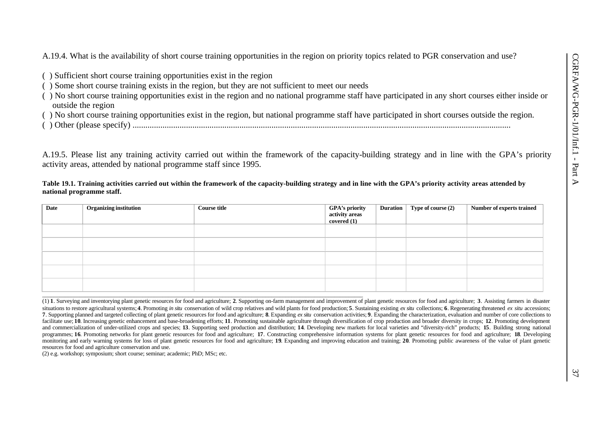A.19.4. What is the availability of short course training opportunities in the region on priority topics related to PGR conservation and use?

- ( ) Sufficient short course training opportunities exist in the region
- ( ) Some short course training exists in the region, but they are not sufficient to meet our needs
- ( ) No short course training opportunities exist in the region and no national programme staff have participated in any short courses either inside or outside the region
- ( ) No short course training opportunities exist in the region, but national programme staff have participated in short courses outside the region.
- ( ) Other (please specify) .................................................................................................................................................................................

A.19.5. Please list any training activity carried out within the framework of the capacity-building strategy and in line with the GPA's priority activity areas, attended by national programme staff since 1995.

#### **Table 19.1. Training activities carried out within the framework of the capacity-building strategy and in line with the GPA's priority activity areas attended by national programme staff.**

| <b>Date</b> | Organizing institution | <b>Course title</b> | GPA's priority | <b>Duration</b> | Type of course (2) | Number of experts trained |
|-------------|------------------------|---------------------|----------------|-----------------|--------------------|---------------------------|
|             |                        |                     | activity areas |                 |                    |                           |
|             |                        |                     | covered $(1)$  |                 |                    |                           |
|             |                        |                     |                |                 |                    |                           |
|             |                        |                     |                |                 |                    |                           |
|             |                        |                     |                |                 |                    |                           |
|             |                        |                     |                |                 |                    |                           |
|             |                        |                     |                |                 |                    |                           |
|             |                        |                     |                |                 |                    |                           |

(1) 1. Surveying and inventorying plant genetic resources for food and agriculture; 2. Supporting on-farm management and improvement of plant genetic resources for food and agriculture; 3. Assisting farmers in disaster situations to restore agricultural systems; 4. Promoting in situ conservation of wild crop relatives and wild plants for food production; 5. Sustaining existing ex situ collections; 6. Regenerating threatened ex situ acce 7. Supporting planned and targeted collecting of plant genetic resources for food and agriculture: 8. Expanding ex situ conservation activities: 9. Expanding the characterization, evaluation and number of core collections facilitate use; 10. Increasing genetic enhancement and base-broadening efforts; 11. Promoting sustainable agriculture through diversification of crop production and broader diversity in crops; 12. Promoting development and commercialization of under-utilized crops and species; 13. Supporting seed production and distribution; 14. Developing new markets for local varieties and "diversity-rich" products; 15. Building strong national programmes; 16. Promoting networks for plant genetic resources for food and agriculture; 17. Constructing comprehensive information systems for plant genetic resources for food and agriculture; 18. Developing monitoring and early warning systems for loss of plant genetic resources for food and agriculture; 19. Expanding and improving education and training; 20. Promoting public awareness of the value of plant genetic resources for food and agriculture conservation and use.

(2) e.g. workshop; symposium; short course; seminar; academic; PhD; MSc; etc.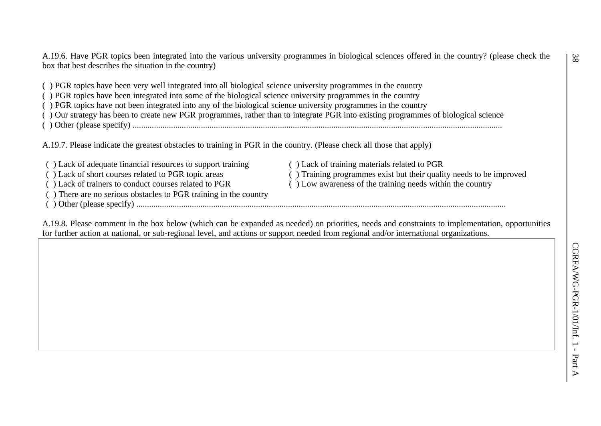A.19.6. Have PGR topics been integrated into the various university programmes in biological sciences offered in the country? (please check the box that best describes the situation in the country)

( ) PGR topics have been very well integrated into all biological science university programmes in the country

( ) PGR topics have been integrated into some of the biological science university programmes in the country

( ) PGR topics have not been integrated into any of the biological science university programmes in the country

( ) Our strategy has been to create new PGR programmes, rather than to integrate PGR into existing programmes of biological science

( ) Other (please specify) .............................................................................................................................................................................

A.19.7. Please indicate the greatest obstacles to training in PGR in the country. (Please check all those that apply)

( ) Lack of adequate financial resources to support training ( ) Lack of training materials related to PGR ( ) Lack of short courses related to PGR topic areas ( ) Training programmes exist but their quality needs to be improved ( ) Lack of training to conduct courses related to PGR ( ) Low awareness of the training needs withi

( ) There are no serious obstacles to PGR training in the country

( ) Other (please specify) .............................................................................................................................................................................

 $( )$  Low awareness of the training needs within the country

A.19.8. Please comment in the box below (which can be expanded as needed) on priorities, needs and constraints to implementation, opportunities for further action at national, or sub-regional level, and actions or support needed from regional and/or international organizations.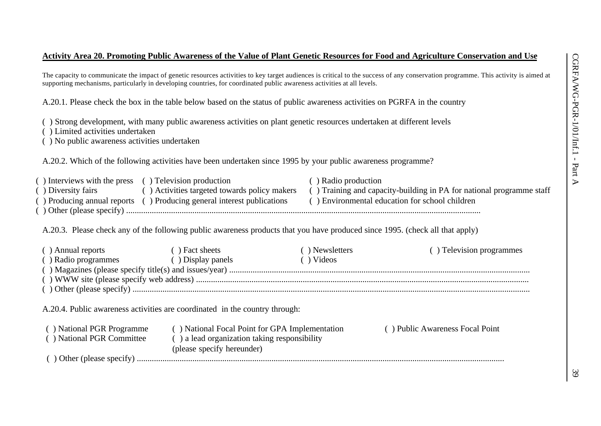### **Activity Area 20. Promoting Public Awareness of the Value of Plant Genetic Resources for Food and Agriculture Conservation and Use**

The capacity to communicate the impact of genetic resources activities to key target audiences is critical to the success of any conservation programme. This activity is aimed at supporting mechanisms, particularly in developing countries, for coordinated public awareness activities at all levels.

A.20.1. Please check the box in the table below based on the status of public awareness activities on PGRFA in the country

( ) Strong development, with many public awareness activities on plant genetic resources undertaken at different levels

- ( ) Limited activities undertaken
- ( ) No public awareness activities undertaken

A.20.2. Which of the following activities have been undertaken since 1995 by your public awareness programme?

| ) Interviews with the press () Television production |                                                                       | ) Radio production                                                   |
|------------------------------------------------------|-----------------------------------------------------------------------|----------------------------------------------------------------------|
| Diversity fairs                                      | Activities targeted towards policy makers                             | () Training and capacity-building in PA for national programme staff |
|                                                      | ) Producing annual reports () Producing general interest publications | () Environmental education for school children                       |
|                                                      |                                                                       |                                                                      |

A.20.3. Please check any of the following public awareness products that you have produced since 1995. (check all that apply)

| ( ) Annual reports<br>() Radio programmes                                   | () Fact sheets<br>( ) Display panels                                       | ) Newsletters<br>$\rightarrow$ Videos          | () Television programmes        |  |  |  |  |  |  |  |
|-----------------------------------------------------------------------------|----------------------------------------------------------------------------|------------------------------------------------|---------------------------------|--|--|--|--|--|--|--|
|                                                                             |                                                                            |                                                |                                 |  |  |  |  |  |  |  |
| A.20.4. Public awareness activities are coordinated in the country through: |                                                                            |                                                |                                 |  |  |  |  |  |  |  |
| () National PGR Programme<br>() National PGR Committee                      | () a lead organization taking responsibility<br>(please specify hereunder) | () National Focal Point for GPA Implementation | () Public Awareness Focal Point |  |  |  |  |  |  |  |
|                                                                             |                                                                            |                                                |                                 |  |  |  |  |  |  |  |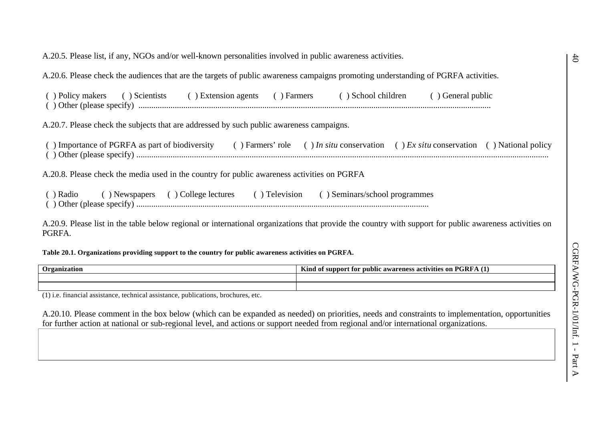| A.20.5. Please list, if any, NGOs and/or well-known personalities involved in public awareness activities.                                                        |
|-------------------------------------------------------------------------------------------------------------------------------------------------------------------|
| A.20.6. Please check the audiences that are the targets of public awareness campaigns promoting understanding of PGRFA activities.                                |
| () Scientists () Extension agents () Farmers () School children<br>( ) Policy makers<br>() General public                                                         |
| A.20.7. Please check the subjects that are addressed by such public awareness campaigns.                                                                          |
| () Importance of PGRFA as part of biodiversity () Farmers' role () In situ conservation () Ex situ conservation () National policy                                |
| A.20.8. Please check the media used in the country for public awareness activities on PGRFA                                                                       |
| () Radio () Newspapers () College lectures () Television () Seminars/school programmes                                                                            |
| A.20.9. Please list in the table below regional or international organizations that provide the country with support for public awareness activities on<br>PGRFA. |

**Table 20.1. Organizations providing support to the country for public awareness activities on PGRFA.**

| $\sim$<br>l Irganiz<br>atıon | $- - -$<br>$\overline{a}$<br>.<br>$"$ GRF $\kappa$<br>Kind<br>activities<br>. of suppor<br>' nublic<br>areness<br>$^{\circ}$ over<br>-on<br>tor |
|------------------------------|-------------------------------------------------------------------------------------------------------------------------------------------------|
|                              |                                                                                                                                                 |
|                              |                                                                                                                                                 |

(1) i.e. financial assistance, technical assistance, publications, brochures, etc.

A.20.10. Please comment in the box below (which can be expanded as needed) on priorities, needs and constraints to implementation, opportunities for further action at national or sub-regional level, and actions or support needed from regional and/or international organizations.

 $\ddot{d}$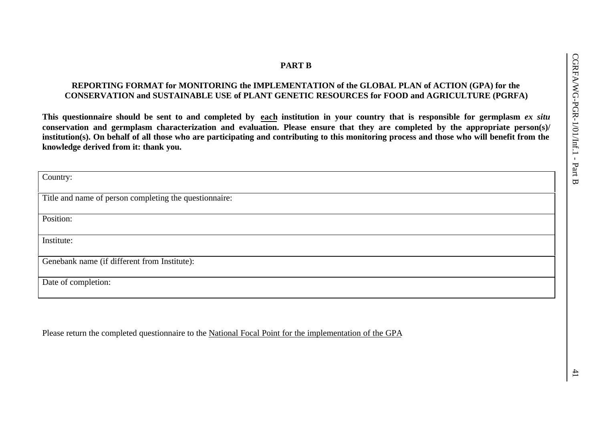# **PART B**

# **REPORTING FORMAT for MONITORING the IMPLEMENTATION of the GLOBAL PLAN of ACTION (GPA) for the CONSERVATION and SUSTAINABLE USE of PLANT GENETIC RESOURCES for FOOD and AGRICULTURE (PGRFA)**

**This questionnaire should be sent to and completed by each institution in your country that is responsible for germplasm** *ex situ* **conservation and germplasm characterization and evaluation. Please ensure that they are completed by the appropriate person(s)/ institution(s). On behalf of all those who are participating and contributing to this monitoring process and those who will benefit from the knowledge derived from it: thank you.**

| Country:                                               |
|--------------------------------------------------------|
|                                                        |
| Title and name of person completing the questionnaire: |
|                                                        |
| Position:                                              |
|                                                        |
| Institute:                                             |
|                                                        |
| Genebank name (if different from Institute):           |
|                                                        |
| Date of completion:                                    |
|                                                        |
|                                                        |

Please return the completed questionnaire to the National Focal Point for the implementation of the GPA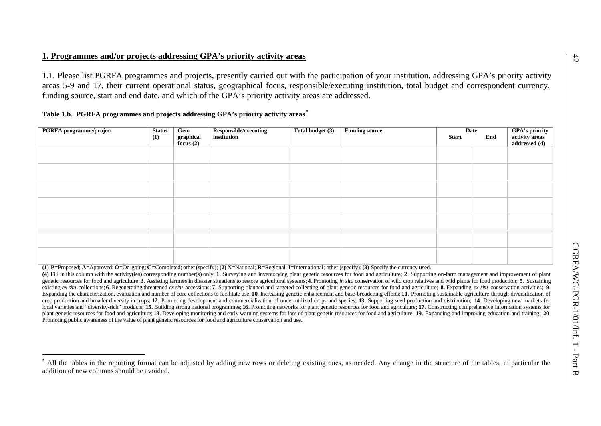### **1. Programmes and/or projects addressing GPA's priority activity areas**

1.1. Please list PGRFA programmes and projects, presently carried out with the participation of your institution, addressing GPA's priority activity areas 5-9 and 17, their current operational status, geographical focus, responsible/executing institution, total budget and correspondent currency, funding source, start and end date, and which of the GPA's priority activity areas are addressed.

|  | Table 1.b. PGRFA programmes and projects addressing GPA's priority activity areas |  |  |  |  |
|--|-----------------------------------------------------------------------------------|--|--|--|--|
|  |                                                                                   |  |  |  |  |

l

| PGRFA programme/project | <b>Status</b> | Geo-                     | Responsible/executing | Total budget (3) | <b>Funding source</b> |              | Date |                                                   |
|-------------------------|---------------|--------------------------|-----------------------|------------------|-----------------------|--------------|------|---------------------------------------------------|
|                         | (1)           | graphical<br>focus $(2)$ | institution           |                  |                       | <b>Start</b> | End  | GPA's priority<br>activity areas<br>addressed (4) |
|                         |               |                          |                       |                  |                       |              |      |                                                   |
|                         |               |                          |                       |                  |                       |              |      |                                                   |
|                         |               |                          |                       |                  |                       |              |      |                                                   |
|                         |               |                          |                       |                  |                       |              |      |                                                   |
|                         |               |                          |                       |                  |                       |              |      |                                                   |
|                         |               |                          |                       |                  |                       |              |      |                                                   |
|                         |               |                          |                       |                  |                       |              |      |                                                   |

(1) P=Proposed; A=Approved; O=On-going; C=Completed; other (specify); (2) N=National; R=Regional; I=International; other (specify); (3) Specify the currency used.

(4) Fill in this column with the activity (ies) corresponding number(s) only. 1. Surveying and inventorying plant genetic resources for food and agriculture; 2. Supporting on-farm management and improvement of plant genetic resources for food and agriculture; 3. Assisting farmers in disaster situations to restore agricultural systems; 4. Promoting in situ conservation of wild crop relatives and wild plants for food production; 5. Sust existing ex situ collections; 6. Regenerating threatened ex situ accessions; 7. Supporting planned and targeted collecting of plant genetic resources for food and agriculture; 8. Expanding ex situ conservation activities; Expanding the characterization, evaluation and number of core collections to facilitate use; 10. Increasing genetic enhancement and base-broadening efforts; 11. Promoting sustainable agriculture through diversification of crop production and broader diversity in crops: 12. Promoting development and commercialization of under-utilized crops and species: 13. Supporting seed production and distribution: 14. Developing new markets for local varieties and "diversity-rich" products; 15. Building strong national programmes; 16. Promoting networks for plant genetic resources for food and agriculture; 17. Constructing comprehensive information systems for plant genetic resources for food and agriculture; 18. Developing monitoring and early warning systems for loss of plant genetic resources for food and agriculture; 19. Expanding and improving education and training; 20. Promoting public awareness of the value of plant genetic resources for food and agriculture conservation and use.

<sup>\*</sup> All the tables in the reporting format can be adjusted by adding new rows or deleting existing ones, as needed. Any change in the structure of the tables, in particular the addition of new columns should be avoided.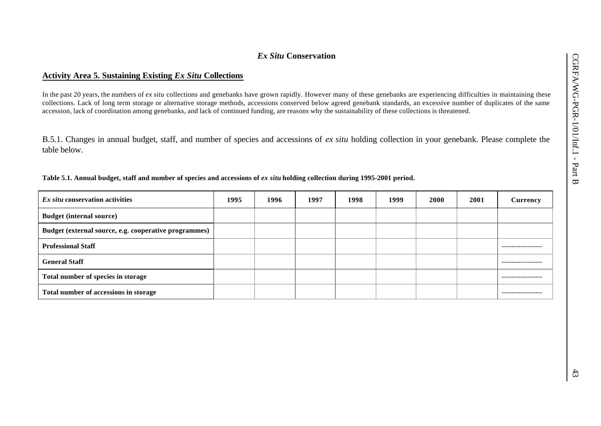# *Ex Situ* **Conservation**

# **Activity Area 5. Sustaining Existing** *Ex Situ* **Collections**

In the past 20 years, the numbers of *ex situ* collections and genebanks have grown rapidly. However many of these genebanks are experiencing difficulties in maintaining these collections. Lack of long term storage or alternative storage methods, accessions conserved below agreed genebank standards, an excessive number of duplicates of the same accession, lack of coordination among genebanks, and lack of continued funding, are reasons why the sustainability of these collections is threatened.

B.5.1. Changes in annual budget, staff, and number of species and accessions of *ex situ* holding collection in your genebank. Please complete the table below.

| Table 5.1. Annual budget, staff and number of species and accessions of ex situ holding collection during 1995-2001 period. |  |  |  |
|-----------------------------------------------------------------------------------------------------------------------------|--|--|--|
|                                                                                                                             |  |  |  |

| <i>Ex situ</i> conservation activities                | 1995 | 1996 | 1997 | 1998 | 1999 | 2000 | 2001 | Currency    |
|-------------------------------------------------------|------|------|------|------|------|------|------|-------------|
| <b>Budget (internal source)</b>                       |      |      |      |      |      |      |      |             |
| Budget (external source, e.g. cooperative programmes) |      |      |      |      |      |      |      |             |
| <b>Professional Staff</b>                             |      |      |      |      |      |      |      |             |
| <b>General Staff</b>                                  |      |      |      |      |      |      |      |             |
| Total number of species in storage                    |      |      |      |      |      |      |      | ----------- |
| Total number of accessions in storage                 |      |      |      |      |      |      |      | ----------  |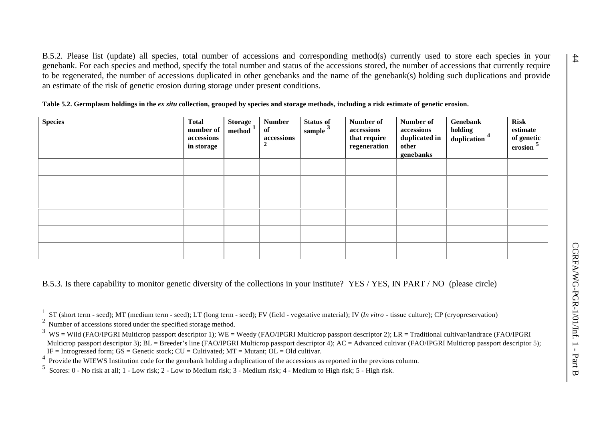B.5.2. Please list (update) all species, total number of accessions and corresponding method(s) currently used to store each species in your genebank. For each species and method, specify the total number and status of the accessions stored, the number of accessions that currently require to be regenerated, the number of accessions duplicated in other genebanks and the name of the genebank(s) holding such duplications and provide an estimate of the risk of genetic erosion during storage under present conditions.

Table 5.2. Germplasm holdings in the *ex situ* collection, grouped by species and storage methods, including a risk estimate of genetic erosion.

| <b>Species</b> | <b>Total</b><br>number of<br>accessions<br>in storage | <b>Storage</b><br>method <sup>1</sup> | <b>Number</b><br>of<br>accessions | <b>Status of</b><br>sample $3$ | Number of<br>accessions<br>that require<br>regeneration | Number of<br>accessions<br>duplicated in<br>other<br>genebanks | Genebank<br>holding<br>duplication <sup>4</sup> | Risk<br>estimate<br>of genetic<br>erosion 5 |
|----------------|-------------------------------------------------------|---------------------------------------|-----------------------------------|--------------------------------|---------------------------------------------------------|----------------------------------------------------------------|-------------------------------------------------|---------------------------------------------|
|                |                                                       |                                       |                                   |                                |                                                         |                                                                |                                                 |                                             |
|                |                                                       |                                       |                                   |                                |                                                         |                                                                |                                                 |                                             |
|                |                                                       |                                       |                                   |                                |                                                         |                                                                |                                                 |                                             |
|                |                                                       |                                       |                                   |                                |                                                         |                                                                |                                                 |                                             |
|                |                                                       |                                       |                                   |                                |                                                         |                                                                |                                                 |                                             |
|                |                                                       |                                       |                                   |                                |                                                         |                                                                |                                                 |                                             |

B.5.3. Is there capability to monitor genetic diversity of the collections in your institute? YES / YES, IN PART / NO (please circle)

l

<sup>1</sup> ST (short term - seed); MT (medium term - seed); LT (long term - seed); FV (field - vegetative material); IV (*In vitro* - tissue culture); CP (cryopreservation)

<sup>2</sup> Number of accessions stored under the specified storage method.

 $3 \,$  WS = Wild (FAO/IPGRI Multicrop passport descriptor 1); WE = Weedy (FAO/IPGRI Multicrop passport descriptor 2); LR = Traditional cultivar/landrace (FAO/IPGRI Multicrop passport descriptor 3);  $BL = B$ reeder's line (FAO/IPGRI Multicrop passport descriptor 4);  $AC = Advanced$  cultivar (FAO/IPGRI Multicrop passport descriptor 5);  $IF = Introgressed form; GS = Genetic stock; CU = Cultivated; MT = Mutant; OL = Old cultivar.$ 

<sup>4</sup> Provide the WIEWS Institution code for the genebank holding a duplication of the accessions as reported in the previous column.

<sup>5</sup> Scores: 0 - No risk at all; 1 - Low risk; 2 - Low to Medium risk; 3 - Medium risk; 4 - Medium to High risk; 5 - High risk.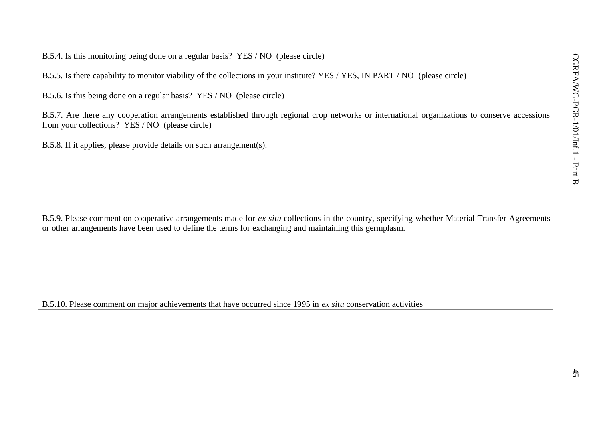B.5.4. Is this monitoring being done on a regular basis? YES / NO (please circle)

B.5.5. Is there capability to monitor viability of the collections in your institute? YES / YES, IN PART / NO (please circle)

B.5.6. Is this being done on a regular basis? YES / NO (please circle)

B.5.7. Are there any cooperation arrangements established through regional crop networks or international organizations to conserve accessions from your collections? YES / NO (please circle)

B.5.8. If it applies, please provide details on such arrangement(s).

B.5.9. Please comment on cooperative arrangements made for *ex situ* collections in the country, specifying whether Material Transfer Agreements or other arrangements have been used to define the terms for exchanging and maintaining this germplasm.

B.5.10. Please comment on major achievements that have occurred since 1995 in *ex situ* conservation activities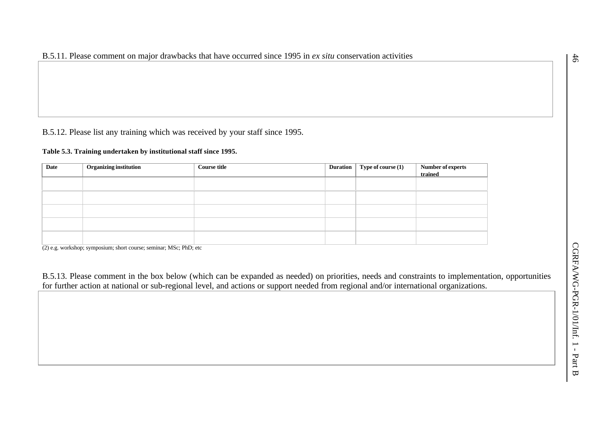B.5.12. Please list any training which was received by your staff since 1995.

#### **Table 5.3. Training undertaken by institutional staff since 1995.**

| Date | Organizing institution | <b>Course title</b> | Duration | <b>Type of course</b> $(1)$ | Number of experts<br>trained |
|------|------------------------|---------------------|----------|-----------------------------|------------------------------|
|      |                        |                     |          |                             |                              |
|      |                        |                     |          |                             |                              |
|      |                        |                     |          |                             |                              |
|      |                        |                     |          |                             |                              |
|      |                        |                     |          |                             |                              |

(2) e.g. workshop; symposium; short course; seminar; MSc; PhD; etc

B.5.13. Please comment in the box below (which can be expanded as needed) on priorities, needs and constraints to implementation, opportunities for further action at national or sub-regional level, and actions or support needed from regional and/or international organizations.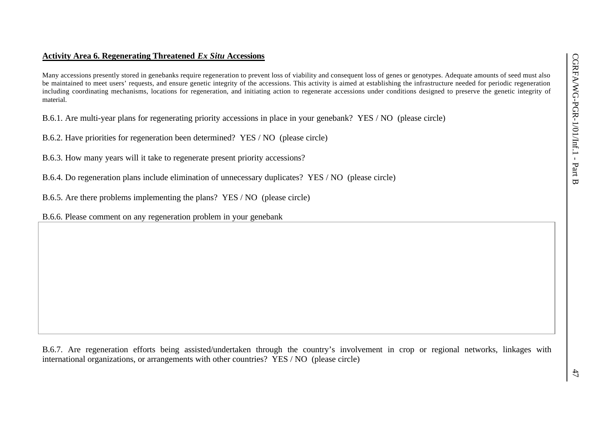# **Activity Area 6. Regenerating Threatened** *Ex Situ* **Accessions**

Many accessions presently stored in genebanks require regeneration to prevent loss of viability and consequent loss of genes or genotypes. Adequate amounts of seed must also be maintained to meet users' requests, and ensure genetic integrity of the accessions. This activity is aimed at establishing the infrastructure needed for periodic regeneration including coordinating mechanisms, locations for regeneration, and initiating action to regenerate accessions under conditions designed to preserve the genetic integrity of material.

B.6.1. Are multi-year plans for regenerating priority accessions in place in your genebank? YES / NO (please circle)

B.6.2. Have priorities for regeneration been determined? YES / NO (please circle)

B.6.3. How many years will it take to regenerate present priority accessions?

B.6.4. Do regeneration plans include elimination of unnecessary duplicates? YES / NO (please circle)

B.6.5. Are there problems implementing the plans? YES / NO (please circle)

B.6.6. Please comment on any regeneration problem in your genebank

B.6.7. Are regeneration efforts being assisted/undertaken through the country's involvement in crop or regional networks, linkages with international organizations, or arrangements with other countries? YES / NO (please circle)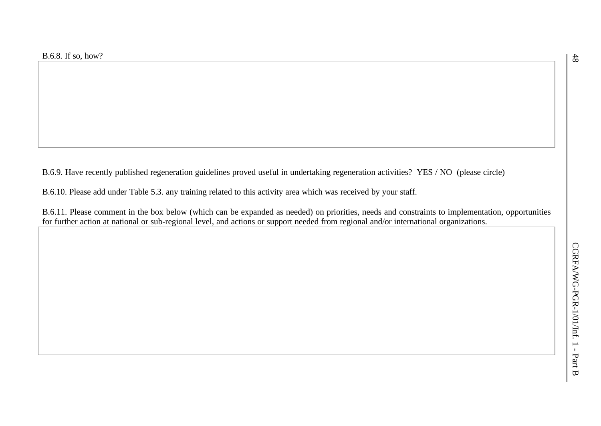B.6.9. Have recently published regeneration guidelines proved useful in undertaking regeneration activities? YES / NO (please circle)

B.6.10. Please add under Table 5.3. any training related to this activity area which was received by your staff.

B.6.11. Please comment in the box below (which can be expanded as needed) on priorities, needs and constraints to implementation, opportunities for further action at national or sub-regional level, and actions or support needed from regional and/or international organizations.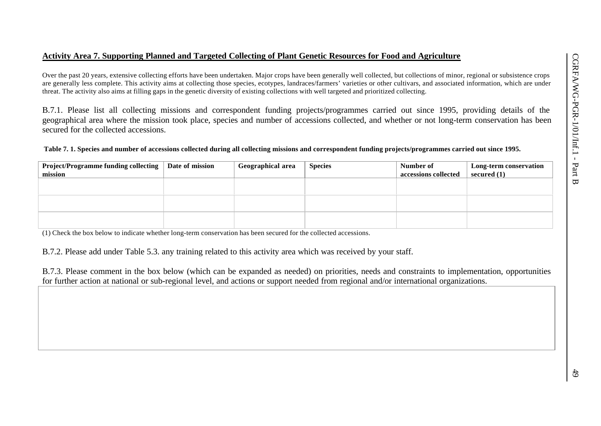#### **Activity Area 7. Supporting Planned and Targeted Collecting of Plant Genetic Resources for Food and Agriculture**

Over the past 20 years, extensive collecting efforts have been undertaken. Major crops have been generally well collected, but collections of minor, regional or subsistence crops are generally less complete. This activity aims at collecting those species, ecotypes, landraces/farmers' varieties or other cultivars, and associated information, which are under threat. The activity also aims at filling gaps in the genetic diversity of existing collections with well targeted and prioritized collecting.

B.7.1. Please list all collecting missions and correspondent funding projects/programmes carried out since 1995, providing details of the geographical area where the mission took place, species and number of accessions collected, and whether or not long-term conservation has been secured for the collected accessions.

#### **Table 7. 1. Species and number of accessions collected during all collecting missions and correspondent funding projects/programmes carried out since 1995.**

| <b>Project/Programme funding collecting</b> | Date of mission | Geographical area | <b>Species</b> | Number of            | Long-term conservation |
|---------------------------------------------|-----------------|-------------------|----------------|----------------------|------------------------|
| mission                                     |                 |                   |                | accessions collected | secured $(1)$          |
|                                             |                 |                   |                |                      |                        |
|                                             |                 |                   |                |                      |                        |
|                                             |                 |                   |                |                      |                        |
|                                             |                 |                   |                |                      |                        |
|                                             |                 |                   |                |                      |                        |
|                                             |                 |                   |                |                      |                        |

(1) Check the box below to indicate whether long-term conservation has been secured for the collected accessions.

B.7.2. Please add under Table 5.3. any training related to this activity area which was received by your staff.

B.7.3. Please comment in the box below (which can be expanded as needed) on priorities, needs and constraints to implementation, opportunities for further action at national or sub-regional level, and actions or support needed from regional and/or international organizations.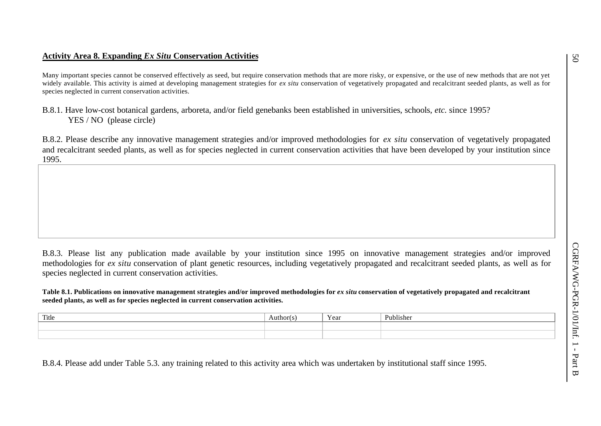# **Activity Area 8. Expanding** *Ex Situ* **Conservation Activities**

Many important species cannot be conserved effectively as seed, but require conservation methods that are more risky, or expensive, or the use of new methods that are not yet widely available. This activity is aimed at developing management strategies for *ex situ* conservation of vegetatively propagated and recalcitrant seeded plants, as well as for species neglected in current conservation activities.

# B.8.1. Have low-cost botanical gardens, arboreta, and/or field genebanks been established in universities, schools, *etc.* since 1995? YES / NO (please circle)

B.8.2. Please describe any innovative management strategies and/or improved methodologies for *ex situ* conservation of vegetatively propagated and recalcitrant seeded plants, as well as for species neglected in current conservation activities that have been developed by your institution since 1995.

B.8.3. Please list any publication made available by your institution since 1995 on innovative management strategies and/or improved methodologies for *ex situ* conservation of plant genetic resources, including vegetatively propagated and recalcitrant seeded plants, as well as for species neglected in current conservation activities.

#### Table 8.1. Publications on innovative management strategies and/or improved methodologies for *ex situ* conservation of vegetatively propagated and recalcitrant **seeded plants, as well as for species neglected in current conservation activities.**

| Title | Author | t var | Publishe. |
|-------|--------|-------|-----------|
|       |        |       |           |
|       |        |       |           |

B.8.4. Please add under Table 5.3. any training related to this activity area which was undertaken by institutional staff since 1995.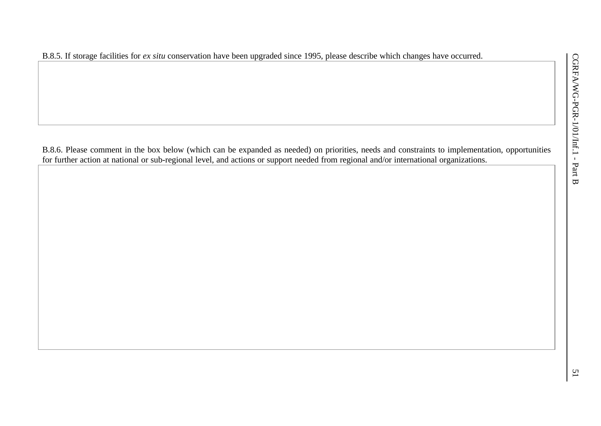B.8.5. If storage facilities for *ex situ* conservation have been upgraded since 1995, please describe which changes have occurred.

B.8.6. Please comment in the box below (which can be expanded as needed) on priorities, needs and constraints to implementation, opportunities for further action at national or sub-regional level, and actions or support needed from regional and/or international organizations.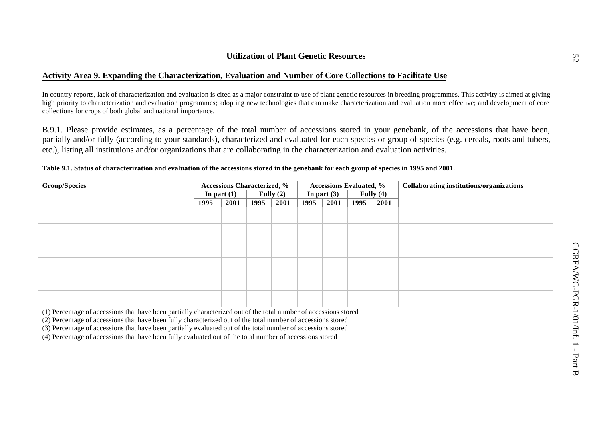# **Activity Area 9. Expanding the Characterization, Evaluation and Number of Core Collections to Facilitate Use**

In country reports, lack of characterization and evaluation is cited as a major constraint to use of plant genetic resources in breeding programmes. This activity is aimed at giving high priority to characterization and evaluation programmes; adopting new technologies that can make characterization and evaluation more effective; and development of core collections for crops of both global and national importance.

B.9.1. Please provide estimates, as a percentage of the total number of accessions stored in your genebank, of the accessions that have been, partially and/or fully (according to your standards), characterized and evaluated for each species or group of species (e.g. cereals, roots and tubers, etc.), listing all institutions and/or organizations that are collaborating in the characterization and evaluation activities.

| <b>Group/Species</b> |               |      | <b>Accessions Characterized, %</b> |      | <b>Accessions Evaluated, %</b> |               |             |      | Collaborating institutions/organizations |
|----------------------|---------------|------|------------------------------------|------|--------------------------------|---------------|-------------|------|------------------------------------------|
|                      | In part $(1)$ |      | Fully $(2)$                        |      |                                | In part $(3)$ | Fully $(4)$ |      |                                          |
|                      | 1995          | 2001 | 1995                               | 2001 | 1995                           | 2001          | 1995        | 2001 |                                          |
|                      |               |      |                                    |      |                                |               |             |      |                                          |
|                      |               |      |                                    |      |                                |               |             |      |                                          |
|                      |               |      |                                    |      |                                |               |             |      |                                          |
|                      |               |      |                                    |      |                                |               |             |      |                                          |
|                      |               |      |                                    |      |                                |               |             |      |                                          |
|                      |               |      |                                    |      |                                |               |             |      |                                          |

#### **Table 9.1. Status of characterization and evaluation of the accessions stored in the genebank for each group of species in 1995 and 2001.**

(1) Percentage of accessions that have been partially characterized out of the total number of accessions stored

(2) Percentage of accessions that have been fully characterized out of the total number of accessions stored

(3) Percentage of accessions that have been partially evaluated out of the total number of accessions stored

(4) Percentage of accessions that have been fully evaluated out of the total number of accessions stored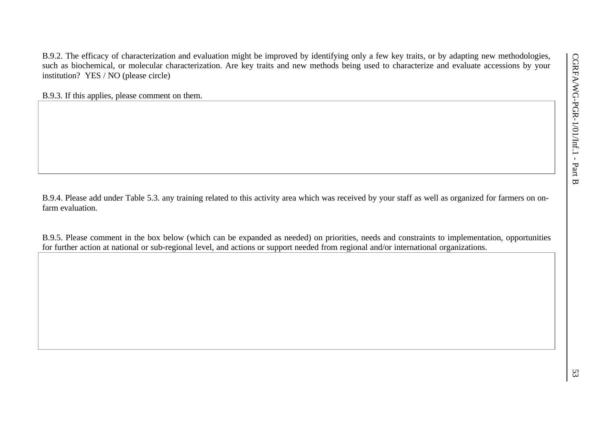B.9.2. The efficacy of characterization and evaluation might be improved by identifying only a few key traits, or by adapting new methodologies, such as biochemical, or molecular characterization. Are key traits and new methods being used to characterize and evaluate accessions by your institution? YES / NO (please circle)

B.9.3. If this applies, please comment on them.

B.9.4. Please add under Table 5.3. any training related to this activity area which was received by your staff as well as organized for farmers on onfarm evaluation.

B.9.5. Please comment in the box below (which can be expanded as needed) on priorities, needs and constraints to implementation, opportunities for further action at national or sub-regional level, and actions or support needed from regional and/or international organizations.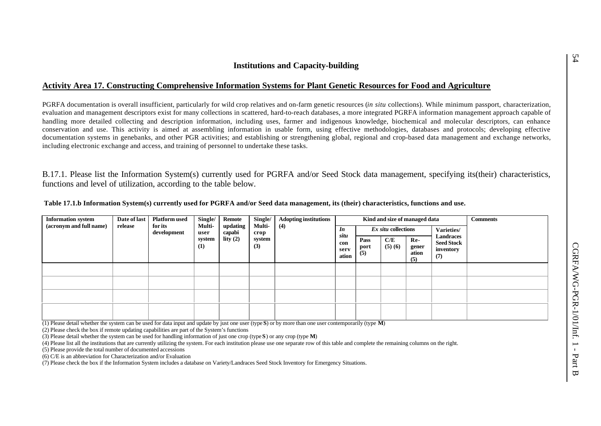# **Activity Area 17. Constructing Comprehensive Information Systems for Plant Genetic Resources for Food and Agriculture**

PGRFA documentation is overall insufficient, particularly for wild crop relatives and on-farm genetic resources (*in situ* collections). While minimum passport, characterization, evaluation and management descriptors exist for many collections in scattered, hard-to-reach databases, a more integrated PGRFA information management approach capable of handling more detailed collecting and description information, including uses, farmer and indigenous knowledge, biochemical and molecular descriptors, can enhance conservation and use. This activity is aimed at assembling information in usable form, using effective methodologies, databases and protocols; developing effective documentation systems in genebanks, and other PGR activities; and establishing or strengthening global, regional and crop-based data management and exchange networks, including electronic exchange and access, and training of personnel to undertake these tasks.

B.17.1. Please list the Information System(s) currently used for PGRFA and/or Seed Stock data management, specifying its(their) characteristics, functions and level of utilization, according to the table below.

| <b>Information system</b> | Date of last | <b>Platform used</b>   | Single/               | Remote             | Single/        | <b>Adopting institutions</b> |                              |                     |                     | Kind and size of managed data |                                                    | <b>Comments</b> |
|---------------------------|--------------|------------------------|-----------------------|--------------------|----------------|------------------------------|------------------------------|---------------------|---------------------|-------------------------------|----------------------------------------------------|-----------------|
| (acronym and full name)   | release      | for its<br>development | <b>Multi-</b><br>user | updating<br>capabi | Multi-<br>crop | (4)                          | In                           |                     | Ex situ collections |                               | Varieties/                                         |                 |
|                           |              |                        | system<br>(1)         | lity $(2)$         | system<br>(3)  |                              | situ<br>con<br>serv<br>ation | Pass<br>port<br>(5) | C/E<br>(5)(6)       | Re-<br>gener<br>ation<br>(5)  | Landraces<br><b>Seed Stock</b><br>inventory<br>(7) |                 |
|                           |              |                        |                       |                    |                |                              |                              |                     |                     |                               |                                                    |                 |
|                           |              |                        |                       |                    |                |                              |                              |                     |                     |                               |                                                    |                 |
|                           |              |                        |                       |                    |                |                              |                              |                     |                     |                               |                                                    |                 |
|                           |              |                        |                       |                    |                |                              |                              |                     |                     |                               |                                                    |                 |

 **Table 17.1.b Information System(s) currently used for PGRFA and/or Seed data management, its (their) characteristics, functions and use.**

(1) Please detail whether the system can be used for data input and update by just one user (type **S**) or by more than one user contemporarily (type **M**)

(2) Please check the box if remote updating capabilities are part of the System's functions

(3) Please detail whether the system can be used for handling information of just one crop (type **S**) or any crop (type **M**)

(4) Please list all the institutions that are currently utilizing the system. For each institution please use one separate row of this table and complete the remaining columns on the right.

(5) Please provide the total number of documented accessions

(6) C/E is an abbreviation for Characterization and/or Evaluation

(7) Please check the box if the Information System includes a database on Variety/Landraces Seed Stock Inventory for Emergency Situations.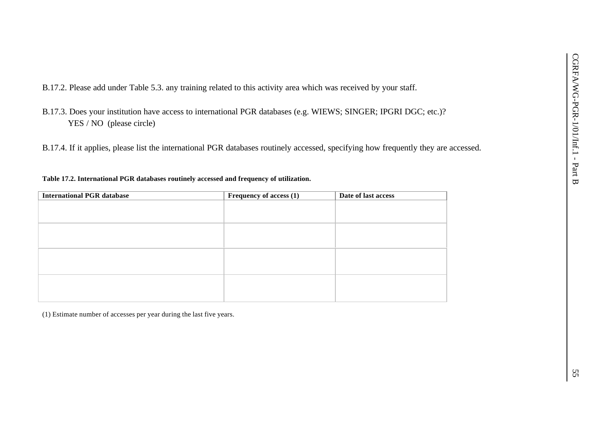B.17.2. Please add under Table 5.3. any training related to this activity area which was received by your staff.

- B.17.3. Does your institution have access to international PGR databases (e.g. WIEWS; SINGER; IPGRI DGC; etc.)? YES / NO (please circle)
- B.17.4. If it applies, please list the international PGR databases routinely accessed, specifying how frequently they are accessed.

### **Table 17.2. International PGR databases routinely accessed and frequency of utilization.**

| <b>International PGR database</b> | Frequency of access (1) | Date of last access |
|-----------------------------------|-------------------------|---------------------|
|                                   |                         |                     |
|                                   |                         |                     |
|                                   |                         |                     |
|                                   |                         |                     |
|                                   |                         |                     |
|                                   |                         |                     |
|                                   |                         |                     |
|                                   |                         |                     |
|                                   |                         |                     |
|                                   |                         |                     |
|                                   |                         |                     |
|                                   |                         |                     |
|                                   |                         |                     |

(1) Estimate number of accesses per year during the last five years.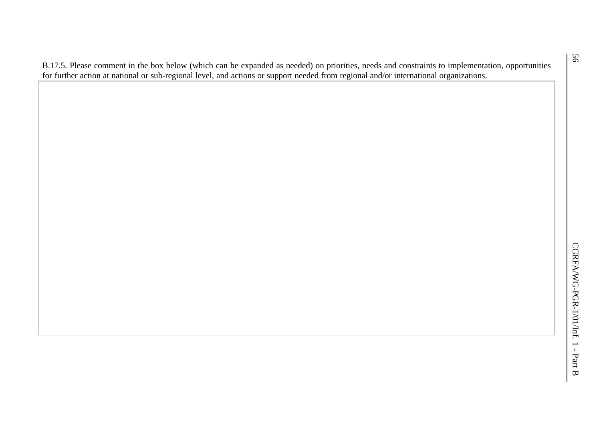B.17.5. Please comment in the box below (which can be expanded as needed) on priorities, needs and constraints to implementation, opportunities for further action at national or sub-regional level, and actions or support needed from regional and/or international organizations.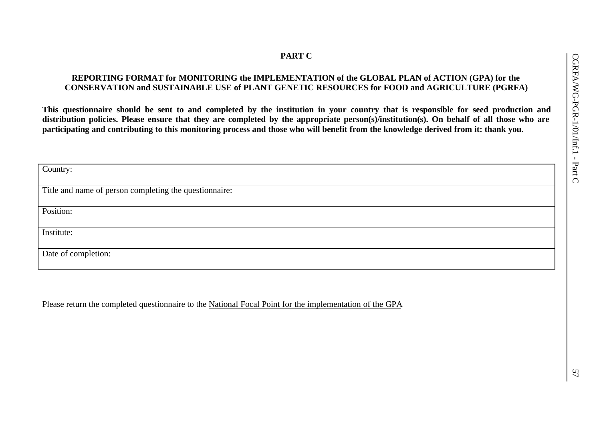# **PART C**

# **REPORTING FORMAT for MONITORING the IMPLEMENTATION of the GLOBAL PLAN of ACTION (GPA) for the CONSERVATION and SUSTAINABLE USE of PLANT GENETIC RESOURCES for FOOD and AGRICULTURE (PGRFA)**

**This questionnaire should be sent to and completed by the institution in your country that is responsible for seed production and distribution policies. Please ensure that they are completed by the appropriate person(s)/institution(s). On behalf of all those who are participating and contributing to this monitoring process and those who will benefit from the knowledge derived from it: thank you.**

| Country:                                               |
|--------------------------------------------------------|
|                                                        |
| Title and name of person completing the questionnaire: |
|                                                        |
| Position:                                              |
|                                                        |
| Institute:                                             |
|                                                        |
| Date of completion:                                    |
|                                                        |
|                                                        |

Please return the completed questionnaire to the National Focal Point for the implementation of the GPA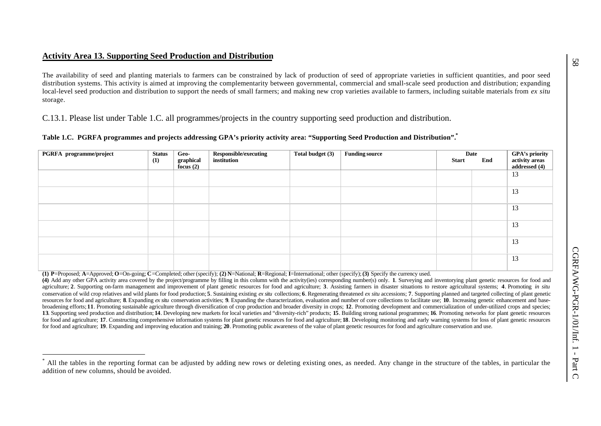# **Activity Area 13. Supporting Seed Production and Distribution**

l

The availability of seed and planting materials to farmers can be constrained by lack of production of seed of appropriate varieties in sufficient quantities, and poor seed distribution systems. This activity is aimed at improving the complementarity between governmental, commercial and small-scale seed production and distribution; expanding local-level seed production and distribution to support the needs of small farmers; and making new crop varieties available to farmers, including suitable materials from *ex situ* storage.

C.13.1. Please list under Table 1.C. all programmes/projects in the country supporting seed production and distribution.

| Table 1.C. PGRFA programmes and projects addressing GPA's priority activity area: "Supporting Seed Production and Distribution". |  |  |  |
|----------------------------------------------------------------------------------------------------------------------------------|--|--|--|
|                                                                                                                                  |  |  |  |

| PGRFA programme/project | <b>Status</b><br>(1) | Geo-<br>graphical<br>focus $(2)$ | Responsible/executing<br>institution | Total budget (3) | <b>Funding source</b> | <b>Start</b> | Date<br>End | GPA's priority<br>activity areas<br>addressed (4) |
|-------------------------|----------------------|----------------------------------|--------------------------------------|------------------|-----------------------|--------------|-------------|---------------------------------------------------|
|                         |                      |                                  |                                      |                  |                       |              |             | 13                                                |
|                         |                      |                                  |                                      |                  |                       |              |             | 13                                                |
|                         |                      |                                  |                                      |                  |                       |              |             | 13                                                |
|                         |                      |                                  |                                      |                  |                       |              |             | 13                                                |
|                         |                      |                                  |                                      |                  |                       |              |             | 13                                                |
|                         |                      |                                  |                                      |                  |                       |              |             | 13                                                |

(1) P=Proposed; A=Approved; O=On-going; C=Completed; other (specify); (2) N=National; R=Regional; I=International; other (specify); (3) Specify the currency used.

(4) Add any other GPA activity area covered by the project/programme by filling in this column with the activity(ies) corresponding number(s) only. 1. Surveying and inventorying plant genetic resources for food and agriculture; 2. Supporting on-farm management and improvement of plant genetic resources for food and agriculture; 3. Assisting farmers in disaster situations to restore agricultural systems; 4. Promoting in situ conservation of wild crop relatives and wild plants for food production; 5. Sustaining existing exitu collections; 6. Regenerating threatened ex situ accessions; 7. Supporting planned and targeted collecting of plant genet resources for food and agriculture; 8. Expanding ex situ conservation activities; 9. Expanding the characterization, evaluation and number of core collections to facilitate use; 10. Increasing genetic enhancement and basebroadening efforts; 11. Promoting sustainable agriculture through diversification of crop production and broader diversity in crops; 12. Promoting development and commercialization of under-utilized crops and species; 13. Supporting seed production and distribution; 14. Developing new markets for local varieties and "diversity-rich" products; 15. Building strong national programmes; 16. Promoting networks for plant genetic resources for food and agriculture; 17. Constructing comprehensive information systems for plant genetic resources for food and agriculture; 18. Developing monitoring and early warning systems for loss of plant genetic resources for food and agriculture; **19**. Expanding and improving education and training; **20**. Promoting public awareness of the value of plant genetic resources for food and agriculture conservation and use.

<sup>\*</sup> All the tables in the reporting format can be adjusted by adding new rows or deleting existing ones, as needed. Any change in the structure of the tables, in particular the addition of new columns, should be avoided.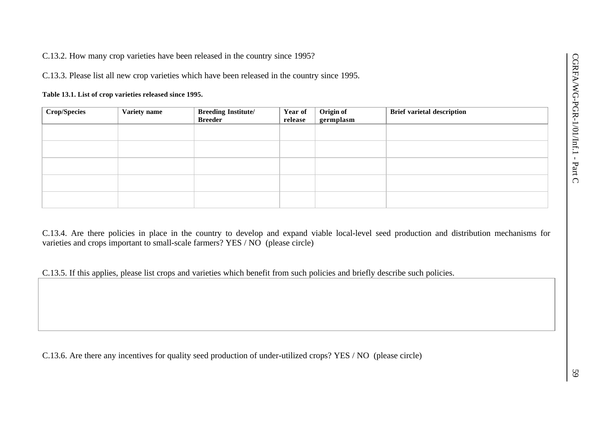C.13.2. How many crop varieties have been released in the country since 1995?

C.13.3. Please list all new crop varieties which have been released in the country since 1995.

#### **Table 13.1. List of crop varieties released since 1995.**

| <b>Crop/Species</b> | Variety name | <b>Breeding Institute/<br/>Breeder</b> | Year of<br>release | Origin of<br>germplasm | <b>Brief varietal description</b> |
|---------------------|--------------|----------------------------------------|--------------------|------------------------|-----------------------------------|
|                     |              |                                        |                    |                        |                                   |
|                     |              |                                        |                    |                        |                                   |
|                     |              |                                        |                    |                        |                                   |
|                     |              |                                        |                    |                        |                                   |
|                     |              |                                        |                    |                        |                                   |

C.13.4. Are there policies in place in the country to develop and expand viable local-level seed production and distribution mechanisms for varieties and crops important to small-scale farmers? YES / NO (please circle)

C.13.5. If this applies, please list crops and varieties which benefit from such policies and briefly describe such policies.

C.13.6. Are there any incentives for quality seed production of under-utilized crops? YES / NO (please circle)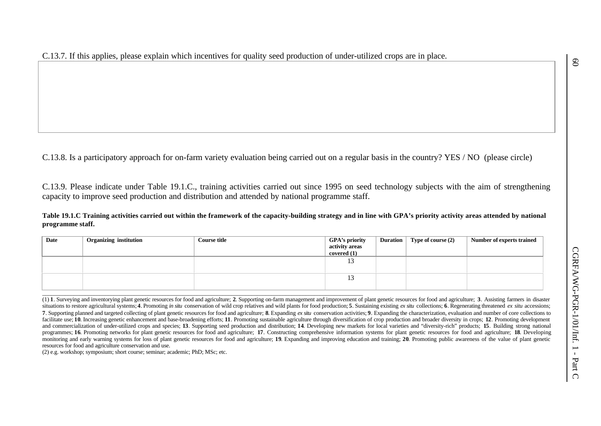C.13.8. Is a participatory approach for on-farm variety evaluation being carried out on a regular basis in the country? YES / NO (please circle)

C.13.9. Please indicate under Table 19.1.C., training activities carried out since 1995 on seed technology subjects with the aim of strengthening capacity to improve seed production and distribution and attended by national programme staff.

**Table 19.1.C Training activities carried out within the framework of the capacity-building strategy and in line with GPA's priority activity areas attended by national programme staff.**

| Date | <b>Organizing institution</b> | <b>Course title</b> | <b>GPA's priority</b><br>activity areas<br>covered (1) | <b>Duration</b> | Type of course (2) | <b>Number of experts trained</b> |
|------|-------------------------------|---------------------|--------------------------------------------------------|-----------------|--------------------|----------------------------------|
|      |                               |                     | 13                                                     |                 |                    |                                  |
|      |                               |                     | 13                                                     |                 |                    |                                  |
|      |                               |                     |                                                        |                 |                    |                                  |

(1) 1. Surveying and inventorying plant genetic resources for food and agriculture; 2. Supporting on-farm management and improvement of plant genetic resources for food and agriculture; 3. Assisting farmers in disaster situations to restore agricultural systems; 4. Promoting in situ conservation of wild crop relatives and wild plants for food production; 5. Sustaining existing ex situ ecllections; 6. Regenerating threatened ex situ acce 7. Supporting planned and targeted collecting of plant genetic resources for food and agriculture: 8. Expanding ex situ conservation activities: 9. Expanding the characterization, evaluation and number of core collections facilitate use: 10. Increasing genetic enhancement and base-broadening efforts: 11. Promoting sustainable agriculture through diversification of crop production and broader diversity in crops: 12. Promoting development and commercialization of under-utilized crops and species; 13. Supporting seed production and distribution; 14. Developing new markets for local varieties and "diversity-rich" products; 15. Building strong national programmes; 16. Promoting networks for plant genetic resources for food and agriculture; 17. Constructing comprehensive information systems for plant genetic resources for food and agriculture; 18. Developing monitoring and early warning systems for loss of plant genetic resources for food and agriculture: 19. Expanding and improving education and training: 20. Promoting public awareness of the value of plant genetic resources for food and agriculture conservation and use.

(2) e.g. workshop; symposium; short course; seminar; academic; PhD; MSc; etc.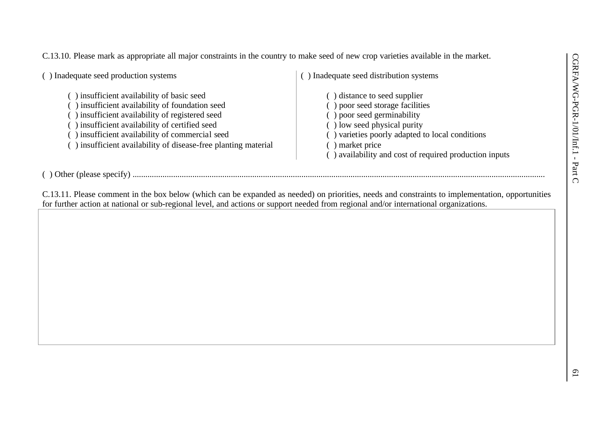C.13.10. Please mark as appropriate all major constraints in the country to make seed of new crop varieties available in the market.

( ) Inadequate seed production systems ( ) insufficient availability of basic seed ( ) insufficient availability of foundation seed ( ) insufficient availability of registered seed

- ( ) insufficient availability of certified seed
- ( ) insufficient availability of commercial seed
- ( ) insufficient availability of disease-free planting material

( ) Inadequate seed distribution systems

( ) distance to seed supplier ( ) poor seed storage facilities ( ) poor seed germinability ( ) low seed physical purity ( ) varieties poorly adapted to local conditions ( ) market price ( ) availability and cost of required production inputs

( ) Other (please specify) .................................................................................................................................................................................................

C.13.11. Please comment in the box below (which can be expanded as needed) on priorities, needs and constraints to implementation, opportunities for further action at national or sub-regional level, and actions or support needed from regional and/or international organizations.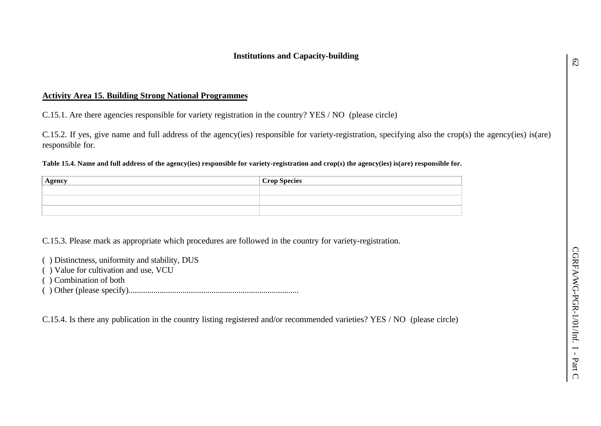# **Activity Area 15. Building Strong National Programmes**

C.15.1. Are there agencies responsible for variety registration in the country? YES / NO (please circle)

C.15.2. If yes, give name and full address of the agency(ies) responsible for variety-registration, specifying also the crop(s) the agency(ies) is(are) responsible for.

**Table 15.4. Name and full address of the agency(ies) responsible for variety-registration and crop(s) the agency(ies) is(are) responsible for.**

| $\Delta$ gency | Crop Species |
|----------------|--------------|
|                |              |
|                |              |
|                |              |

C.15.3. Please mark as appropriate which procedures are followed in the country for variety-registration.

( ) Distinctness, uniformity and stability, DUS

- ( ) Value for cultivation and use, VCU
- ( ) Combination of both
- ( ) Other (please specify)..................................................................................

C.15.4. Is there any publication in the country listing registered and/or recommended varieties? YES / NO (please circle)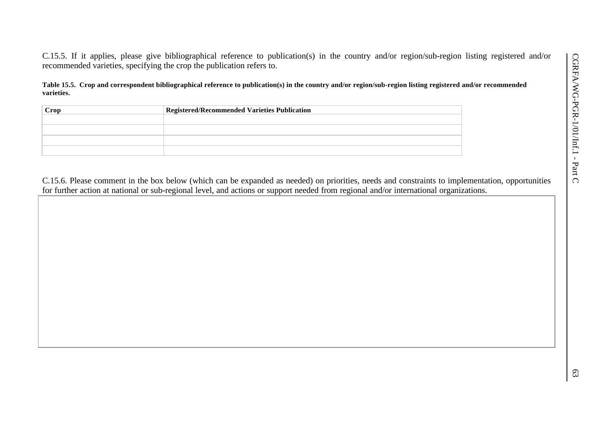C.15.5. If it applies, please give bibliographical reference to publication(s) in the country and/or region/sub-region listing registered and/or recommended varieties, specifying the crop the publication refers to.

**Table 15.5. Crop and correspondent bibliographical reference to publication(s) in the country and/or region/sub-region listing registered and/or recommended varieties.**

| Crop | <b>Registered/Recommended Varieties Publication</b> |  |  |  |  |  |  |
|------|-----------------------------------------------------|--|--|--|--|--|--|
|      |                                                     |  |  |  |  |  |  |
|      |                                                     |  |  |  |  |  |  |
|      |                                                     |  |  |  |  |  |  |
|      |                                                     |  |  |  |  |  |  |

C.15.6. Please comment in the box below (which can be expanded as needed) on priorities, needs and constraints to implementation, opportunities for further action at national or sub-regional level, and actions or support needed from regional and/or international organizations.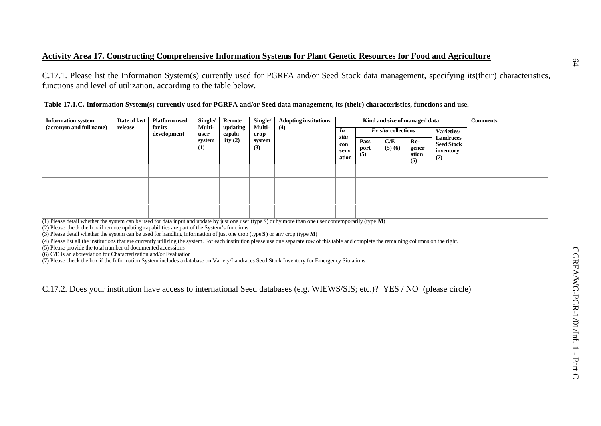## **Activity Area 17. Constructing Comprehensive Information Systems for Plant Genetic Resources for Food and Agriculture**

C.17.1. Please list the Information System(s) currently used for PGRFA and/or Seed Stock data management, specifying its(their) characteristics, functions and level of utilization, according to the table below.

 **Table 17.1.C. Information System(s) currently used for PGRFA and/or Seed data management, its (their) characteristics, functions and use.**

| <b>Information system</b> | Date of last | <b>Platform used</b>   | Single/        | Remote             | Single/        | <b>Adopting institutions</b> | Kind and size of managed data |                           |               |                              |                                                    | <b>Comments</b> |
|---------------------------|--------------|------------------------|----------------|--------------------|----------------|------------------------------|-------------------------------|---------------------------|---------------|------------------------------|----------------------------------------------------|-----------------|
| (acronym and full name)   | release      | for its<br>development | Multi-<br>user | updating<br>capabi | Multi-<br>crop | (4)                          | In                            | Ex situ collections       |               | Varieties/                   |                                                    |                 |
|                           |              |                        | system<br>(1)  | lity $(2)$         | system<br>(3)  |                              | situ<br>con<br>serv<br>ation  | Pass<br>port<br>$\bar{5}$ | C/E<br>(5)(6) | Re-<br>gener<br>ation<br>(5) | Landraces<br><b>Seed Stock</b><br>inventory<br>(7) |                 |
|                           |              |                        |                |                    |                |                              |                               |                           |               |                              |                                                    |                 |
|                           |              |                        |                |                    |                |                              |                               |                           |               |                              |                                                    |                 |
|                           |              |                        |                |                    |                |                              |                               |                           |               |                              |                                                    |                 |
|                           |              |                        |                |                    |                |                              |                               |                           |               |                              |                                                    |                 |

(1) Please detail whether the system can be used for data input and update by just one user (type **S**) or by more than one user contemporarily (type **M**)

(2) Please check the box if remote updating capabilities are part of the System's functions

(3) Please detail whether the system can be used for handling information of just one crop (type **S**) or any crop (type **M**)

(4) Please list all the institutions that are currently utilizing the system. For each institution please use one separate row of this table and complete the remaining columns on the right.

(5) Please provide the total number of documented accessions

(6) C/E is an abbreviation for Characterization and/or Evaluation

(7) Please check the box if the Information System includes a database on Variety/Landraces Seed Stock Inventory for Emergency Situations.

C.17.2. Does your institution have access to international Seed databases (e.g. WIEWS/SIS; etc.)? YES / NO (please circle)